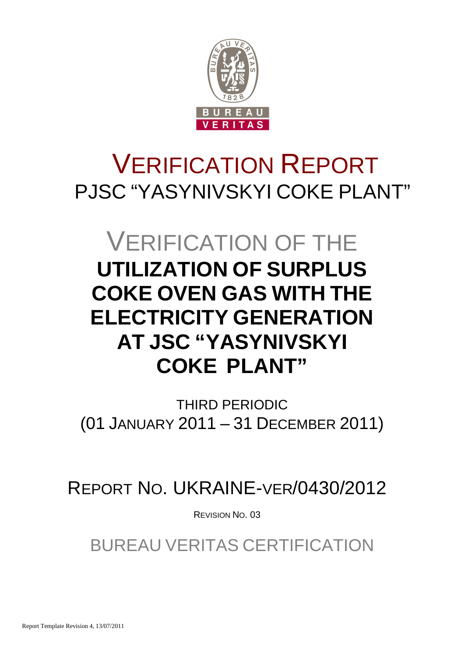

# VERIFICATION REPORT PJSC "YASYNIVSKYI COKE PLANT"

# VERIFICATION OF THE **UTILIZATION OF SURPLUS COKE OVEN GAS WITH THE ELECTRICITY GENERATION AT JSC "YASYNIVSKYI COKE PLANT"**

THIRD PERIODIC (01 JANUARY 2011 – 31 DECEMBER 2011)

REPORT NO. UKRAINE-VER/0430/2012

REVISION NO. 03

BUREAU VERITAS CERTIFICATION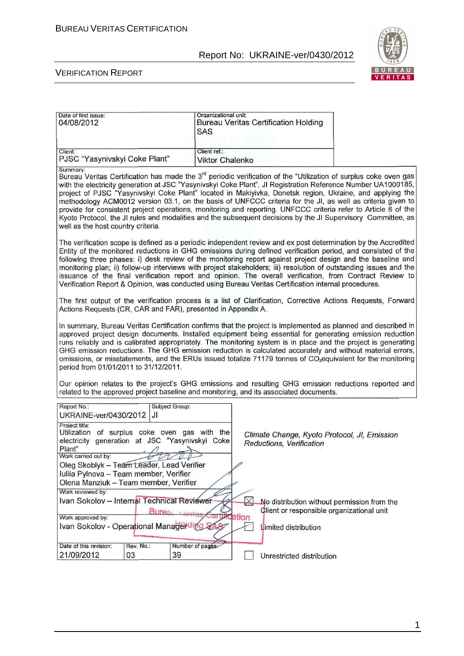

#### VERIFICATION REPORT

| Date of first issue:<br>04/08/2012                                                                                                                                                                                                                                                                                                                                                                                                                                                                                                                                                                                                                                                                                                                         | Organizational unit:<br><b>SAS</b>     | <b>Bureau Veritas Certification Holding</b>                                                                                            |  |
|------------------------------------------------------------------------------------------------------------------------------------------------------------------------------------------------------------------------------------------------------------------------------------------------------------------------------------------------------------------------------------------------------------------------------------------------------------------------------------------------------------------------------------------------------------------------------------------------------------------------------------------------------------------------------------------------------------------------------------------------------------|----------------------------------------|----------------------------------------------------------------------------------------------------------------------------------------|--|
| Client:<br>PJSC "Yasynivskyi Coke Plant"                                                                                                                                                                                                                                                                                                                                                                                                                                                                                                                                                                                                                                                                                                                   | Client ref.:<br><b>Viktor Chalenko</b> |                                                                                                                                        |  |
| Summary:<br>Bureau Veritas Certification has made the 3 <sup>rd</sup> periodic verification of the "Utilization of surplus coke oven gas<br>with the electricity generation at JSC "Yasynivskyi Coke Plant", JI Registration Reference Number UA1000185,<br>project of PJSC "Yasynivskyi Coke Plant" located in Makiyivka, Donetsk region, Ukraine, and applying the<br>methodology ACM0012 version 03.1, on the basis of UNFCCC criteria for the JI, as well as criteria given to<br>provide for consistent project operations, monitoring and reporting. UNFCCC criteria refer to Article 6 of the<br>Kyoto Protocol, the JI rules and modalities and the subsequent decisions by the JI Supervisory Committee, as<br>well as the host country criteria. |                                        |                                                                                                                                        |  |
| The verification scope is defined as a periodic independent review and ex post determination by the Accredited<br>Entity of the monitored reductions in GHG emissions during defined verification period, and consisted of the<br>following three phases: i) desk review of the monitoring report against project design and the baseline and<br>monitoring plan; ii) follow-up interviews with project stakeholders; iii) resolution of outstanding issues and the<br>issuance of the final verification report and opinion. The overall verification, from Contract Review to<br>Verification Report & Opinion, was conducted using Bureau Veritas Certification internal procedures.                                                                    |                                        |                                                                                                                                        |  |
| The first output of the verification process is a list of Clarification, Corrective Actions Requests, Forward<br>Actions Requests (CR, CAR and FAR), presented in Appendix A.                                                                                                                                                                                                                                                                                                                                                                                                                                                                                                                                                                              |                                        |                                                                                                                                        |  |
| In summary, Bureau Veritas Certification confirms that the project is implemented as planned and described in<br>approved project design documents. Installed equipment being essential for generating emission reduction<br>runs reliably and is calibrated appropriately. The monitoring system is in place and the project is generating<br>GHG emission reductions. The GHG emission reduction is calculated accurately and without material errors,<br>omissions, or misstatements, and the ERUs issued totalize 71179 tonnes of CO <sub>2</sub> equivalent for the monitoring<br>period from 01/01/2011 to 31/12/2011.                                                                                                                               |                                        |                                                                                                                                        |  |
| Our opinion relates to the project's GHG emissions and resulting GHG emission reductions reported and<br>related to the approved project baseline and monitoring, and its associated documents.                                                                                                                                                                                                                                                                                                                                                                                                                                                                                                                                                            |                                        |                                                                                                                                        |  |
| Report No.:<br>Subject Group:<br>IJI<br>UKRAINE-ver/0430/2012                                                                                                                                                                                                                                                                                                                                                                                                                                                                                                                                                                                                                                                                                              |                                        |                                                                                                                                        |  |
| Project title:<br>Utilization of surplus coke oven gas with the<br>electricity generation at JSC "Yasynivskyi Coke<br>Plant"<br>Work carried out by:<br>Oleg Skoblyk - Team Leader, Lead Verifier<br>Iuliia Pylnova - Team member, Verifier<br>Olena Manziuk - Team member, Verifier<br>Work reviewed by:<br>Ivan Sokolov - Internal Technical Reviewer                                                                                                                                                                                                                                                                                                                                                                                                    |                                        | Climate Change, Kyoto Protocol, JI, Emission<br>Reductions, Verification<br>$\boxtimes$<br>No distribution without permission from the |  |
| Work approved by:<br>Ivan Sokolov - Operational Managerding                                                                                                                                                                                                                                                                                                                                                                                                                                                                                                                                                                                                                                                                                                | Bureau Vento                           | Client or responsible organizational unit<br>Ufication<br>Limited distribution                                                         |  |
| Date of this revision:<br>Rev. No.:<br>21/09/2012<br>03                                                                                                                                                                                                                                                                                                                                                                                                                                                                                                                                                                                                                                                                                                    | Number of pages:<br>39                 | Unrestricted distribution                                                                                                              |  |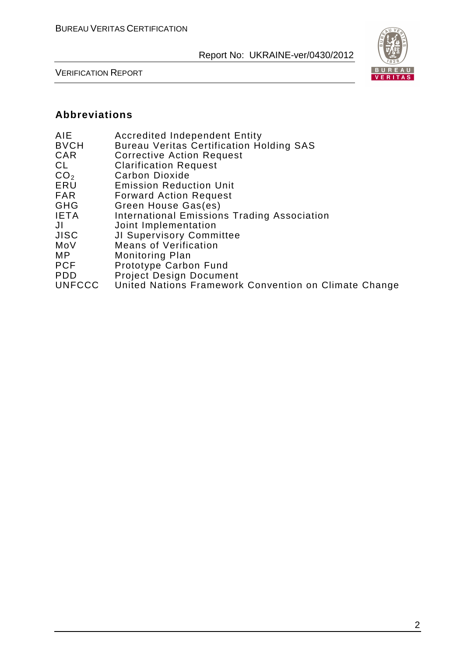

VERIFICATION REPORT

#### **Abbreviations**

| <b>Accredited Independent Entity</b><br><b>Bureau Veritas Certification Holding SAS</b> |
|-----------------------------------------------------------------------------------------|
| <b>Corrective Action Request</b>                                                        |
| <b>Clarification Request</b>                                                            |
| Carbon Dioxide                                                                          |
| <b>Emission Reduction Unit</b>                                                          |
| <b>Forward Action Request</b>                                                           |
| Green House Gas(es)                                                                     |
| <b>International Emissions Trading Association</b>                                      |
| Joint Implementation                                                                    |
| JI Supervisory Committee                                                                |
| <b>Means of Verification</b>                                                            |
| <b>Monitoring Plan</b>                                                                  |
| Prototype Carbon Fund                                                                   |
| <b>Project Design Document</b>                                                          |
| United Nations Framework Convention on Climate Change                                   |
|                                                                                         |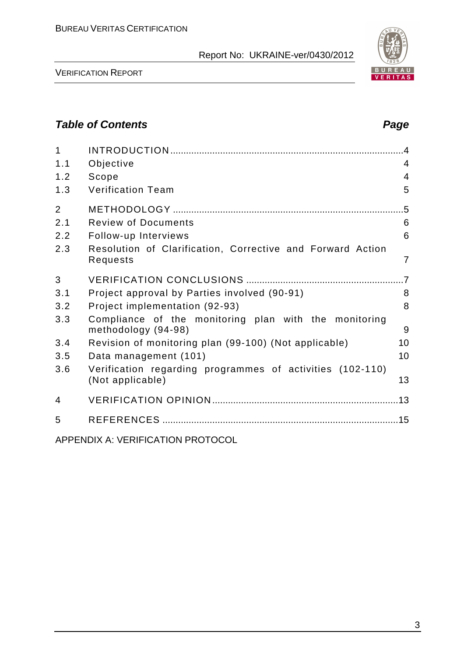

VERIFICATION REPORT

## **Table of Contents Page 2014**

| $\mathbf{1}$   |                                                                               |                |
|----------------|-------------------------------------------------------------------------------|----------------|
| 1.1            | Objective                                                                     | 4              |
| 1.2            | Scope                                                                         | $\overline{4}$ |
| 1.3            | <b>Verification Team</b>                                                      | 5              |
| $\overline{2}$ |                                                                               | .5             |
| 2.1            | <b>Review of Documents</b>                                                    | 6              |
| 2.2            | Follow-up Interviews                                                          | 6              |
| 2.3            | Resolution of Clarification, Corrective and Forward Action<br>Requests        | $\overline{7}$ |
| 3              |                                                                               |                |
| 3.1            | Project approval by Parties involved (90-91)                                  | 8              |
| 3.2            | Project implementation (92-93)                                                | 8              |
| 3.3            | Compliance of the monitoring plan with the monitoring<br>methodology (94-98)  | 9              |
| 3.4            | Revision of monitoring plan (99-100) (Not applicable)                         | 10             |
| 3.5            | Data management (101)                                                         | 10             |
| 3.6            | Verification regarding programmes of activities (102-110)<br>(Not applicable) | 13             |
| 4              |                                                                               |                |
| 5              |                                                                               |                |
|                |                                                                               |                |

APPENDIX A: VERIFICATION PROTOCOL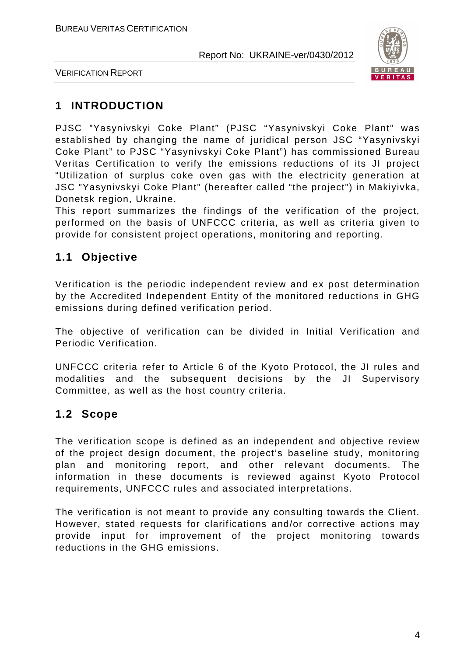

VERIFICATION REPORT

# **1 INTRODUCTION**

PJSC "Yasynivskyi Coke Plant" (PJSC "Yasynivskyi Coke Plant" was established by changing the name of juridical person JSC "Yasynivskyi Coke Plant" to PJSC "Yasynivskyi Coke Plant") has commissioned Bureau Veritas Certification to verify the emissions reductions of its JI project "Utilization of surplus coke oven gas with the electricity generation at JSC "Yasynivskyi Coke Plant" (hereafter called "the project") in Makiyivka, Donetsk region, Ukraine.

This report summarizes the findings of the verification of the project, performed on the basis of UNFCCC criteria, as well as criteria given to provide for consistent project operations, monitoring and reporting.

# **1.1 Objective**

Verification is the periodic independent review and ex post determination by the Accredited Independent Entity of the monitored reductions in GHG emissions during defined verification period.

The objective of verification can be divided in Initial Verification and Periodic Verification.

UNFCCC criteria refer to Article 6 of the Kyoto Protocol, the JI rules and modalities and the subsequent decisions by the JI Supervisory Committee, as well as the host country criteria.

## **1.2 Scope**

The verification scope is defined as an independent and objective review of the project design document, the project's baseline study, monitoring plan and monitoring report, and other relevant documents. The information in these documents is reviewed against Kyoto Protocol requirements, UNFCCC rules and associated interpretations.

The verification is not meant to provide any consulting towards the Client. However, stated requests for clarifications and/or corrective actions may provide input for improvement of the project monitoring towards reductions in the GHG emissions.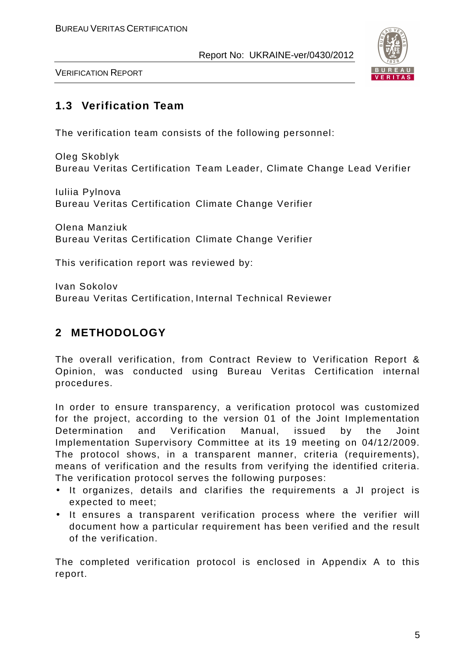

VERIFICATION REPORT

## **1.3 Verification Team**

The verification team consists of the following personnel:

Oleg Skoblyk Bureau Veritas Certification Team Leader, Climate Change Lead Verifier

Iuliia Pylnova Bureau Veritas Certification Climate Change Verifier

Olena Manziuk Bureau Veritas Certification Climate Change Verifier

This verification report was reviewed by:

Ivan Sokolov Bureau Veritas Certification, Internal Technical Reviewer

# **2 METHODOLOGY**

The overall verification, from Contract Review to Verification Report & Opinion, was conducted using Bureau Veritas Certification internal procedures.

In order to ensure transparency, a verification protocol was customized for the project, according to the version 01 of the Joint Implementation Determination and Verification Manual, issued by the Joint Implementation Supervisory Committee at its 19 meeting on 04/12/2009. The protocol shows, in a transparent manner, criteria (requirements), means of verification and the results from verifying the identified criteria. The verification protocol serves the following purposes:

- It organizes, details and clarifies the requirements a JI project is expected to meet;
- It ensures a transparent verification process where the verifier will document how a particular requirement has been verified and the result of the verification.

The completed verification protocol is enclosed in Appendix A to this report.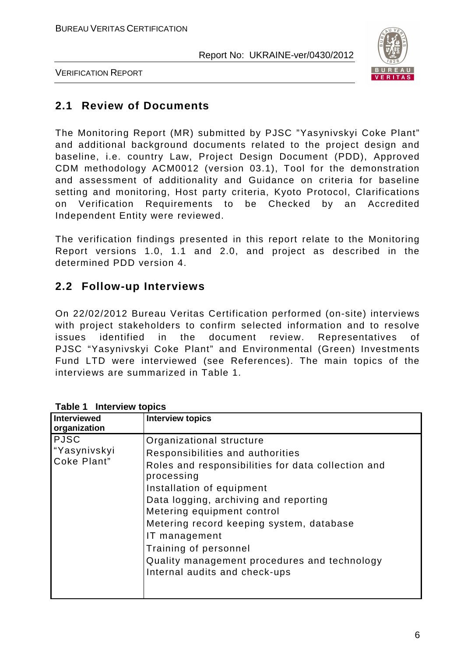

VERIFICATION REPORT

## **2.1 Review of Documents**

The Monitoring Report (MR) submitted by PJSC "Yasynivskyi Coke Plant" and additional background documents related to the project design and baseline, i.e. country Law, Project Design Document (PDD), Approved CDM methodology ACM0012 (version 03.1), Tool for the demonstration and assessment of additionality and Guidance on criteria for baseline setting and monitoring, Host party criteria, Kyoto Protocol, Clarifications on Verification Requirements to be Checked by an Accredited Independent Entity were reviewed.

The verification findings presented in this report relate to the Monitoring Report versions 1.0, 1.1 and 2.0, and project as described in the determined PDD version 4.

## **2.2 Follow-up Interviews**

On 22/02/2012 Bureau Veritas Certification performed (on-site) interviews with project stakeholders to confirm selected information and to resolve issues identified in the document review. Representatives of PJSC "Yasynivskyi Coke Plant" and Environmental (Green) Investments Fund LTD were interviewed (see References). The main topics of the interviews are summarized in Table 1.

| <b>Interviewed</b><br>organization         | <b>Interview topics</b>                                                                                                                                                                                                                                                                                                                                                                                     |
|--------------------------------------------|-------------------------------------------------------------------------------------------------------------------------------------------------------------------------------------------------------------------------------------------------------------------------------------------------------------------------------------------------------------------------------------------------------------|
| <b>PJSC</b><br>"Yasynivskyi<br>Coke Plant" | Organizational structure<br>Responsibilities and authorities<br>Roles and responsibilities for data collection and<br>processing<br>Installation of equipment<br>Data logging, archiving and reporting<br>Metering equipment control<br>Metering record keeping system, database<br>IT management<br>Training of personnel<br>Quality management procedures and technology<br>Internal audits and check-ups |

**Table 1 Interview topics**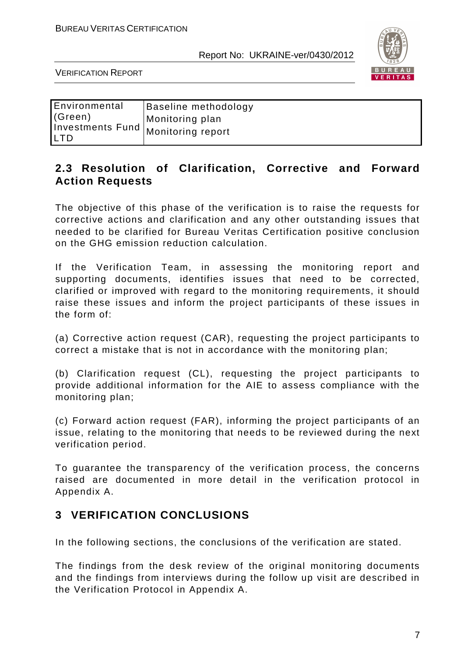

VERIFICATION REPORT

| Environmental | Baseline methodology                 |
|---------------|--------------------------------------|
| (Green)       | Monitoring plan                      |
| <b>LTD</b>    | investments Fund   Monitoring report |

### **2.3 Resolution of Clarification, Corrective and Forward Action Requests**

The objective of this phase of the verification is to raise the requests for corrective actions and clarification and any other outstanding issues that needed to be clarified for Bureau Veritas Certification positive conclusion on the GHG emission reduction calculation.

If the Verification Team, in assessing the monitoring report and supporting documents, identifies issues that need to be corrected, clarified or improved with regard to the monitoring requirements, it should raise these issues and inform the project participants of these issues in the form of:

(a) Corrective action request (CAR), requesting the project participants to correct a mistake that is not in accordance with the monitoring plan;

(b) Clarification request (CL), requesting the project participants to provide additional information for the AIE to assess compliance with the monitoring plan;

(c) Forward action request (FAR), informing the project participants of an issue, relating to the monitoring that needs to be reviewed during the next verification period.

To guarantee the transparency of the verification process, the concerns raised are documented in more detail in the verification protocol in Appendix A.

## **3 VERIFICATION CONCLUSIONS**

In the following sections, the conclusions of the verification are stated.

The findings from the desk review of the original monitoring documents and the findings from interviews during the follow up visit are described in the Verification Protocol in Appendix A.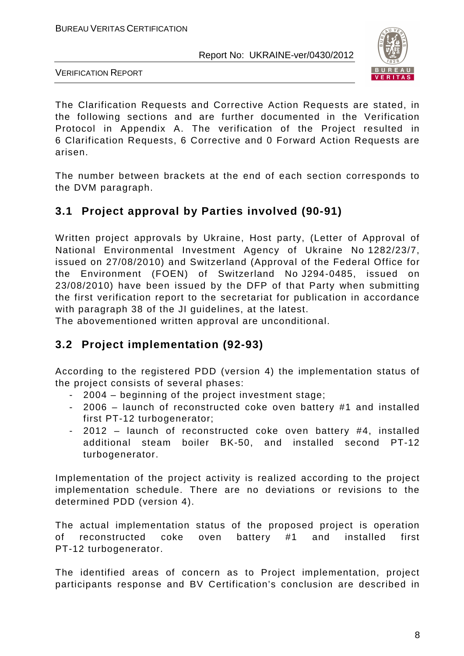

VERIFICATION REPORT

The Clarification Requests and Corrective Action Requests are stated, in the following sections and are further documented in the Verification Protocol in Appendix A. The verification of the Project resulted in 6 Clarification Requests, 6 Corrective and 0 Forward Action Requests are arisen.

The number between brackets at the end of each section corresponds to the DVM paragraph.

# **3.1 Project approval by Parties involved (90-91)**

Written project approvals by Ukraine, Host party, (Letter of Approval of National Environmental Investment Agency of Ukraine No 1282/23/7, issued on 27/08/2010) and Switzerland (Approval of the Federal Office for the Environment (FOEN) of Switzerland No J294-0485, issued on 23/08/2010) have been issued by the DFP of that Party when submitting the first verification report to the secretariat for publication in accordance with paragraph 38 of the JI guidelines, at the latest.

The abovementioned written approval are unconditional.

## **3.2 Project implementation (92-93)**

According to the registered PDD (version 4) the implementation status of the project consists of several phases:

- 2004 beginning of the project investment stage;
- 2006 launch of reconstructed coke oven battery #1 and installed first PT-12 turbogenerator;
- 2012 launch of reconstructed coke oven battery #4, installed additional steam boiler BK-50, and installed second PT-12 turbogenerator.

Implementation of the project activity is realized according to the project implementation schedule. There are no deviations or revisions to the determined PDD (version 4).

The actual implementation status of the proposed project is operation of reconstructed coke oven battery #1 and installed first PT-12 turbogenerator.

The identified areas of concern as to Project implementation, project participants response and BV Certification's conclusion are described in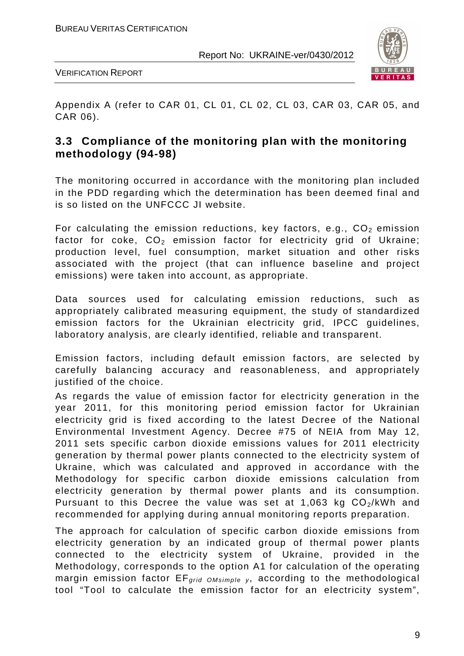

VERIFICATION REPORT

Appendix A (refer to CAR 01, CL 01, CL 02, CL 03, CAR 03, CAR 05, and CAR 06).

## **3.3 Compliance of the monitoring plan with the monitoring methodology (94-98)**

The monitoring occurred in accordance with the monitoring plan included in the PDD regarding which the determination has been deemed final and is so listed on the UNFCCC JI website.

For calculating the emission reductions, key factors, e.g.,  $CO<sub>2</sub>$  emission factor for coke,  $CO<sub>2</sub>$  emission factor for electricity grid of Ukraine; production level, fuel consumption, market situation and other risks associated with the project (that can influence baseline and project emissions) were taken into account, as appropriate.

Data sources used for calculating emission reductions, such as appropriately calibrated measuring equipment, the study of standardized emission factors for the Ukrainian electricity grid, IPCC guidelines, laboratory analysis, are clearly identified, reliable and transparent.

Emission factors, including default emission factors, are selected by carefully balancing accuracy and reasonableness, and appropriately justified of the choice.

As regards the value of emission factor for electricity generation in the year 2011, for this monitoring period emission factor for Ukrainian electricity grid is fixed according to the latest Decree of the National Environmental Investment Agency. Decree #75 of NEIA from May 12, 2011 sets specific carbon dioxide emissions values for 2011 electricity generation by thermal power plants connected to the electricity system of Ukraine, which was calculated and approved in accordance with the Methodology for specific carbon dioxide emissions calculation from electricity generation by thermal power plants and its consumption. Pursuant to this Decree the value was set at 1,063 kg  $CO<sub>2</sub>/kWh$  and recommended for applying during annual monitoring reports preparation.

The approach for calculation of specific carbon dioxide emissions from electricity generation by an indicated group of thermal power plants connected to the electricity system of Ukraine, provided in the Methodology, corresponds to the option A1 for calculation of the operating margin emission factor  $EF_{grid\ OMsimple}$ , according to the methodological tool "Tool to calculate the emission factor for an electricity system",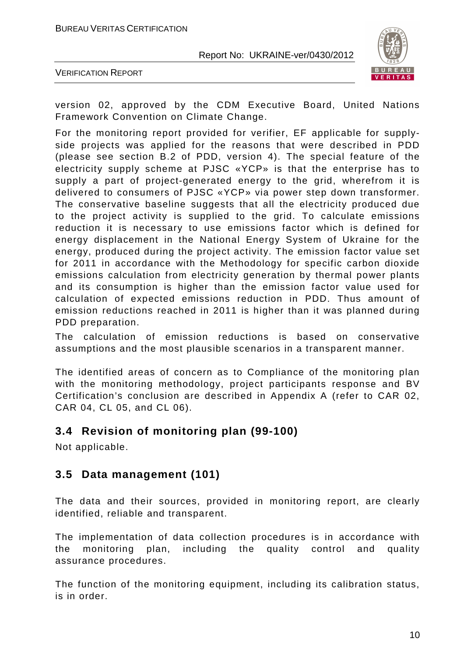

VERIFICATION REPORT

version 02, approved by the CDM Executive Board, United Nations Framework Convention on Climate Change.

For the monitoring report provided for verifier, EF applicable for supplyside projects was applied for the reasons that were described in PDD (please see section B.2 of PDD, version 4). The special feature of the electricity supply scheme at PJSC «YCP» is that the enterprise has to supply a part of project-generated energy to the grid, wherefrom it is delivered to consumers of PJSC «YCP» via power step down transformer. The conservative baseline suggests that all the electricity produced due to the project activity is supplied to the grid. To calculate emissions reduction it is necessary to use emissions factor which is defined for energy displacement in the National Energy System of Ukraine for the energy, produced during the project activity. The emission factor value set for 2011 in accordance with the Methodology for specific carbon dioxide emissions calculation from electricity generation by thermal power plants and its consumption is higher than the emission factor value used for calculation of expected emissions reduction in PDD. Thus amount of emission reductions reached in 2011 is higher than it was planned during PDD preparation.

The calculation of emission reductions is based on conservative assumptions and the most plausible scenarios in a transparent manner.

The identified areas of concern as to Compliance of the monitoring plan with the monitoring methodology, project participants response and BV Certification's conclusion are described in Appendix A (refer to CAR 02, CAR 04, CL 05, and CL 06).

#### **3.4 Revision of monitoring plan (99-100)**

Not applicable.

#### **3.5 Data management (101)**

The data and their sources, provided in monitoring report, are clearly identified, reliable and transparent.

The implementation of data collection procedures is in accordance with the monitoring plan, including the quality control and quality assurance procedures.

The function of the monitoring equipment, including its calibration status, is in order.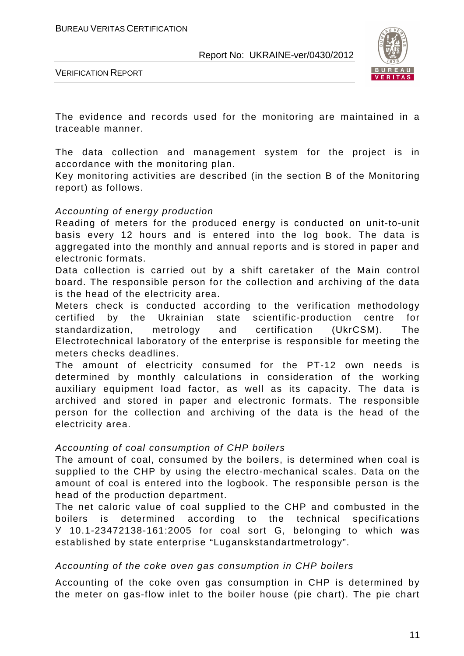

VERIFICATION REPORT

The evidence and records used for the monitoring are maintained in a traceable manner.

The data collection and management system for the project is in accordance with the monitoring plan.

Key monitoring activities are described (in the section B of the Monitoring report) as follows.

#### Accounting of energy production

Reading of meters for the produced energy is conducted on unit-to-unit basis every 12 hours and is entered into the log book. The data is aggregated into the monthly and annual reports and is stored in paper and electronic formats.

Data collection is carried out by a shift caretaker of the Main control board. The responsible person for the collection and archiving of the data is the head of the electricity area.

Meters check is conducted according to the verification methodology certified by the Ukrainian state scientific-production centre for standardization, metrology and certification (UkrCSM). The Electrotechnical laboratory of the enterprise is responsible for meeting the meters checks deadlines.

The amount of electricity consumed for the PT-12 own needs is determined by monthly calculations in consideration of the working auxiliary equipment load factor, as well as its capacity. The data is archived and stored in paper and electronic formats. The responsible person for the collection and archiving of the data is the head of the electricity area.

#### Accounting of coal consumption of CHP boilers

The amount of coal, consumed by the boilers, is determined when coal is supplied to the CHP by using the electro-mechanical scales. Data on the amount of coal is entered into the logbook. The responsible person is the head of the production department.

The net caloric value of coal supplied to the CHP and combusted in the boilers is determined according to the technical specifications У 10.1-23472138-161:2005 for coal sort G, belonging to which was established by state enterprise "Luganskstandartmetrology".

#### Accounting of the coke oven gas consumption in CHP boilers

Accounting of the coke oven gas consumption in CHP is determined by the meter on gas-flow inlet to the boiler house (pie chart). The pie chart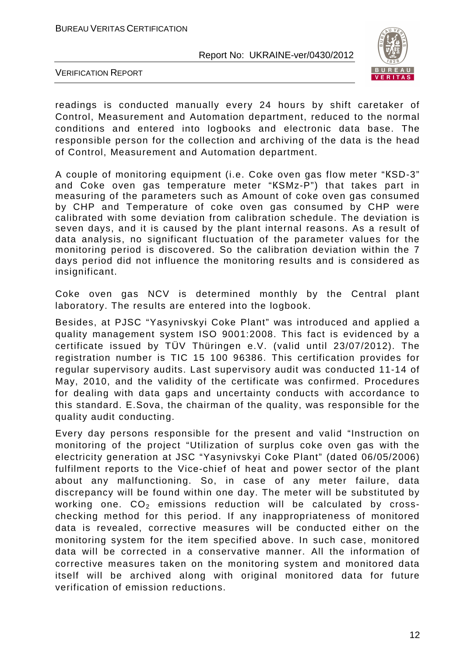

VERIFICATION REPORT

readings is conducted manually every 24 hours by shift caretaker of Control, Measurement and Automation department, reduced to the normal conditions and entered into logbooks and electronic data base. The responsible person for the collection and archiving of the data is the head of Control, Measurement and Automation department.

A couple of monitoring equipment (i.e. Coke oven gas flow meter "КSD-3" and Coke oven gas temperature meter "КSMz-P") that takes part in measuring of the parameters such as Amount of coke oven gas consumed by CHP and Temperature of coke oven gas consumed by CHP were calibrated with some deviation from calibration schedule. The deviation is seven days, and it is caused by the plant internal reasons. As a result of data analysis, no significant fluctuation of the parameter values for the monitoring period is discovered. So the calibration deviation within the 7 days period did not influence the monitoring results and is considered as insignificant.

Coke oven gas NCV is determined monthly by the Central plant laboratory. The results are entered into the logbook.

Besides, at PJSC "Yasynivskyi Coke Plant" was introduced and applied a quality management system ISO 9001:2008. This fact is evidenced by a certificate issued by TÜV Thüringen e.V. (valid until 23/07/2012). The registration number is TIC 15 100 96386. This certification provides for regular supervisory audits. Last supervisory audit was conducted 11-14 of May, 2010, and the validity of the certificate was confirmed. Procedures for dealing with data gaps and uncertainty conducts with accordance to this standard. E.Sova, the chairman of the quality, was responsible for the quality audit conducting.

Every day persons responsible for the present and valid "Instruction on monitoring of the project "Utilization of surplus coke oven gas with the electricity generation at JSC "Yasynivskyi Coke Plant" (dated 06/05/2006) fulfilment reports to the Vice-сhief of heat and power sector of the plant about any malfunctioning. So, in case of any meter failure, data discrepancy will be found within one day. The meter will be substituted by working one.  $CO<sub>2</sub>$  emissions reduction will be calculated by crosschecking method for this period. If any inappropriateness of monitored data is revealed, corrective measures will be conducted either on the monitoring system for the item specified above. In such case, monitored data will be corrected in a conservative manner. All the information of corrective measures taken on the monitoring system and monitored data itself will be archived along with original monitored data for future verification of emission reductions.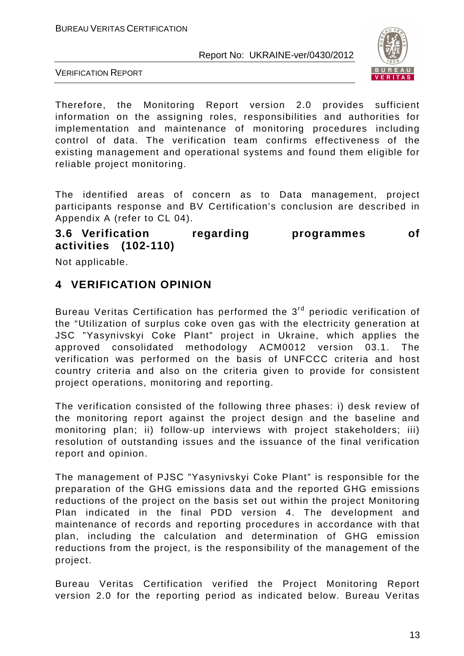

VERIFICATION REPORT

Therefore, the Monitoring Report version 2.0 provides sufficient information on the assigning roles, responsibilities and authorities for implementation and maintenance of monitoring procedures including control of data. The verification team confirms effectiveness of the existing management and operational systems and found them eligible for reliable project monitoring.

The identified areas of concern as to Data management, project participants response and BV Certification's conclusion are described in Appendix A (refer to CL 04).

**3.6 Verification regarding programmes of activities (102-110)** 

Not applicable.

### **4 VERIFICATION OPINION**

Bureau Veritas Certification has performed the 3<sup>rd</sup> periodic verification of the "Utilization of surplus coke oven gas with the electricity generation at JSC "Yasynivskyi Coke Plant" project in Ukraine, which applies the approved consolidated methodology ACM0012 version 03.1. The verification was performed on the basis of UNFCCC criteria and host country criteria and also on the criteria given to provide for consistent project operations, monitoring and reporting.

The verification consisted of the following three phases: i) desk review of the monitoring report against the project design and the baseline and monitoring plan; ii) follow-up interviews with project stakeholders; iii) resolution of outstanding issues and the issuance of the final verification report and opinion.

The management of PJSC "Yasynivskyi Coke Plant" is responsible for the preparation of the GHG emissions data and the reported GHG emissions reductions of the project on the basis set out within the project Monitoring Plan indicated in the final PDD version 4. The development and maintenance of records and reporting procedures in accordance with that plan, including the calculation and determination of GHG emission reductions from the project, is the responsibility of the management of the project.

Bureau Veritas Certification verified the Project Monitoring Report version 2.0 for the reporting period as indicated below. Bureau Veritas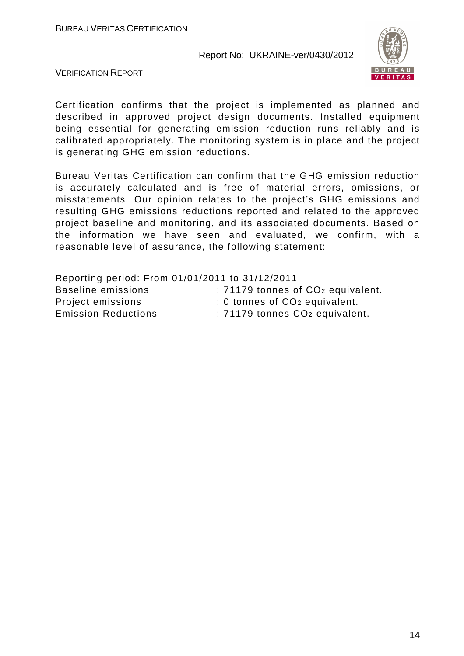

VERIFICATION REPORT

Certification confirms that the project is implemented as planned and described in approved project design documents. Installed equipment being essential for generating emission reduction runs reliably and is calibrated appropriately. The monitoring system is in place and the project is generating GHG emission reductions.

Bureau Veritas Certification can confirm that the GHG emission reduction is accurately calculated and is free of material errors, omissions, or misstatements. Our opinion relates to the project's GHG emissions and resulting GHG emissions reductions reported and related to the approved project baseline and monitoring, and its associated documents. Based on the information we have seen and evaluated, we confirm, with a reasonable level of assurance, the following statement:

| Reporting period: From 01/01/2011 to 31/12/2011 |                                               |
|-------------------------------------------------|-----------------------------------------------|
| Baseline emissions                              | : 71179 tonnes of CO <sub>2</sub> equivalent. |
| Project emissions                               | : 0 tonnes of CO <sub>2</sub> equivalent.     |
| <b>Emission Reductions</b>                      | : 71179 tonnes CO <sub>2</sub> equivalent.    |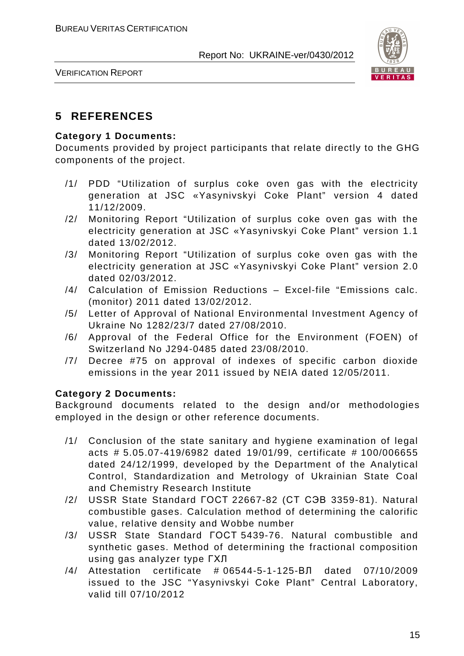

VERIFICATION REPORT

# **5 REFERENCES**

#### **Category 1 Documents:**

Documents provided by project participants that relate directly to the GHG components of the project.

- /1/ PDD "Utilization of surplus coke oven gas with the electricity generation at JSC «Yasynivskyi Coke Plant" version 4 dated 11/12/2009.
- /2/ Monitoring Report "Utilization of surplus coke oven gas with the electricity generation at JSC «Yasynivskyi Coke Plant" version 1.1 dated 13/02/2012.
- /3/ Monitoring Report "Utilization of surplus coke oven gas with the electricity generation at JSC «Yasynivskyi Coke Plant" version 2.0 dated 02/03/2012.
- /4/ Calculation of Emission Reductions Excel-file "Emissions calc. (monitor) 2011 dated 13/02/2012.
- /5/ Letter of Approval of National Environmental Investment Agency of Ukraine No 1282/23/7 dated 27/08/2010.
- /6/ Approval of the Federal Office for the Environment (FOEN) of Switzerland No J294-0485 dated 23/08/2010.
- /7/ Decree #75 on approval of indexes of specific carbon dioxide emissions in the year 2011 issued by NEIA dated 12/05/2011.

#### **Category 2 Documents:**

Background documents related to the design and/or methodologies employed in the design or other reference documents.

- /1/ Conclusion of the state sanitary and hygiene examination of legal acts # 5.05.07-419/6982 dated 19/01/99, certificate # 100/006655 dated 24/12/1999, developed by the Department of the Analytical Control, Standardization and Metrology of Ukrainian State Coal and Chemistry Research Institute
- /2/ USSR State Standard ГОСТ 22667-82 (СТ СЭВ 3359-81). Natural combustible gases. Calculation method of determining the calorific value, relative density and Wobbe number
- /3/ USSR State Standard ГОСТ 5439-76. Natural combustible and synthetic gases. Method of determining the fractional composition using gas analyzer type ГХЛ
- /4/ Attestation certificate # 06544-5-1-125-ВЛ dated 07/10/2009 issued to the JSC "Yasynivskyi Coke Plant" Central Laboratory, valid till 07/10/2012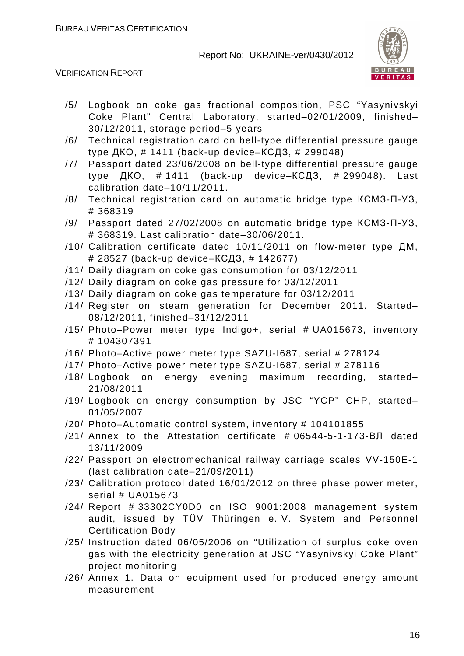

VERIFICATION REPORT

- /5/ Logbook on coke gas fractional composition, PSC "Yasynivskyi Coke Plant" Central Laboratory, started–02/01/2009, finished– 30/12/2011, storage period–5 years
- /6/ Technical registration card on bell-type differential pressure gauge type ДКО, # 1411 (back-up device–КСДЗ, # 299048)
- /7/ Passport dated 23/06/2008 on bell-type differential pressure gauge type  $I K$ O,  $# 1411$  (back-up device– $K$ C $I$ 3,  $# 299048$ ). Last calibration date–10/11/2011.
- /8/ Technical registration card on automatic bridge type КСМЗ-П-УЗ, # 368319
- /9/ Passport dated 27/02/2008 on automatic bridge type КСМЗ-П-УЗ, # 368319. Last calibration date–30/06/2011.
- /10/ Calibration certificate dated 10/11/2011 on flow-meter type ДМ, # 28527 (back-up device–КСДЗ, # 142677)
- /11/ Daily diagram on coke gas consumption for 03/12/2011
- /12/ Daily diagram on coke gas pressure for 03/12/2011
- /13/ Daily diagram on coke gas temperature for 03/12/2011
- /14/ Register on steam generation for December 2011. Started– 08/12/2011, finished–31/12/2011
- /15/ Photo–Power meter type Indigo+, serial # UA015673, inventory # 104307391
- /16/ Photo–Active power meter type SAZU-I687, serial # 278124
- /17/ Photo–Active power meter type SAZU-I687, serial # 278116
- /18/ Logbook on energy evening maximum recording, started– 21/08/2011
- /19/ Logbook on energy consumption by JSC "YCP" CHP, started– 01/05/2007
- /20/ Photo–Automatic control system, inventory # 104101855
- /21/ Annex to the Attestation certificate # 06544-5-1-173-ВЛ dated 13/11/2009
- /22/ Passport on electromechanical railway carriage scales VV-150E-1 (last calibration date–21/09/2011)
- /23/ Calibration protocol dated 16/01/2012 on three phase power meter, serial # UA015673
- /24/ Report # 33302CY0D0 on ISO 9001:2008 management system audit, issued by TÜV Thüringen e. V. System and Personnel Certification Body
- /25/ Instruction dated 06/05/2006 on "Utilization of surplus coke oven gas with the electricity generation at JSC "Yasynivskyi Coke Plant" project monitoring
- /26/ Annex 1. Data on equipment used for produced energy amount measurement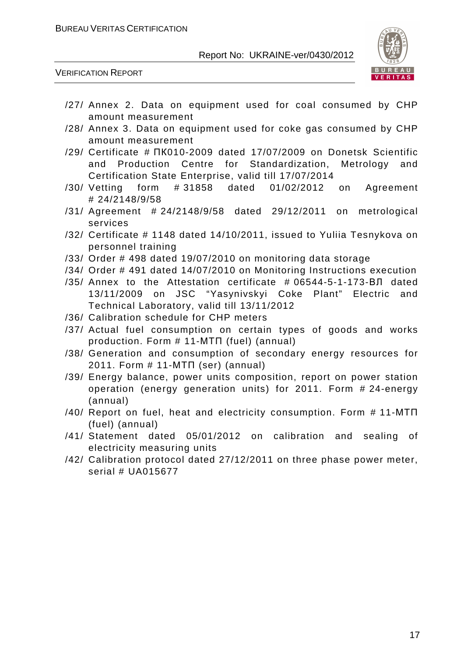

VERIFICATION REPORT

- /27/ Annex 2. Data on equipment used for coal consumed by CHP amount measurement
- /28/ Annex 3. Data on equipment used for coke gas consumed by CHP amount measurement
- /29/ Certificate # ПК010-2009 dated 17/07/2009 on Donetsk Scientific and Production Centre for Standardization, Metrology and Certification State Enterprise, valid till 17/07/2014
- /30/ Vetting form # 31858 dated 01/02/2012 on Agreement # 24/2148/9/58
- /31/ Agreement # 24/2148/9/58 dated 29/12/2011 on metrological services
- /32/ Certificate # 1148 dated 14/10/2011, issued to Yuliia Tesnykova on personnel training
- /33/ Order # 498 dated 19/07/2010 on monitoring data storage
- /34/ Order # 491 dated 14/07/2010 on Monitoring Instructions execution
- /35/ Annex to the Attestation certificate # 06544-5-1-173-ВЛ dated 13/11/2009 on JSC "Yasynivskyi Coke Plant" Electric and Technical Laboratory, valid till 13/11/2012
- /36/ Calibration schedule for CHP meters
- /37/ Actual fuel consumption on certain types of goods and works production. Form # 11-МТП (fuel) (annual)
- /38/ Generation and consumption of secondary energy resources for 2011. Form # 11-МТП (ser) (annual)
- /39/ Energy balance, power units composition, report on power station operation (energy generation units) for 2011. Form # 24-energy (annual)
- /40/ Report on fuel, heat and electricity consumption. Form # 11-МТП (fuel) (annual)
- /41/ Statement dated 05/01/2012 on calibration and sealing of electricity measuring units
- /42/ Calibration protocol dated 27/12/2011 on three phase power meter, serial # UA015677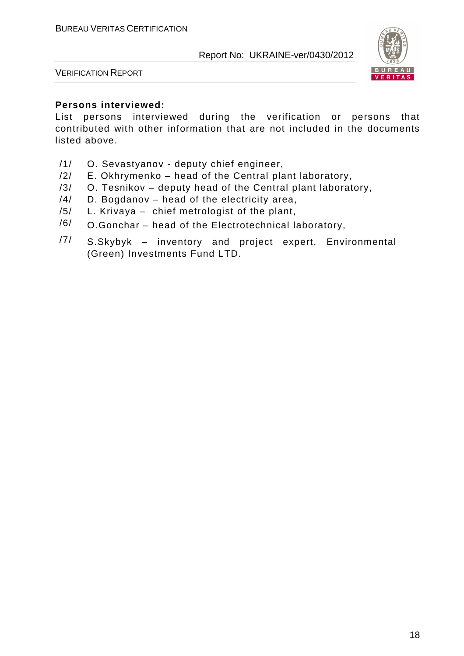

VERIFICATION REPORT

#### **Persons interviewed:**

List persons interviewed during the verification or persons that contributed with other information that are not included in the documents listed above.

- /1/ O. Sevastyanov deputy chief engineer,
- /2/ E. Okhrymenko head of the Central plant laboratory,
- /3/ O. Tesnikov deputy head of the Central plant laboratory,
- /4/ D. Bogdanov head of the electricity area,
- /5/ L. Krivaya chief metrologist of the plant,
- $/6/$  O.Gonchar head of the Electrotechnical laboratory,
- $/7/$  S.Skybyk inventory and project expert, Environmental (Green) Investments Fund LTD.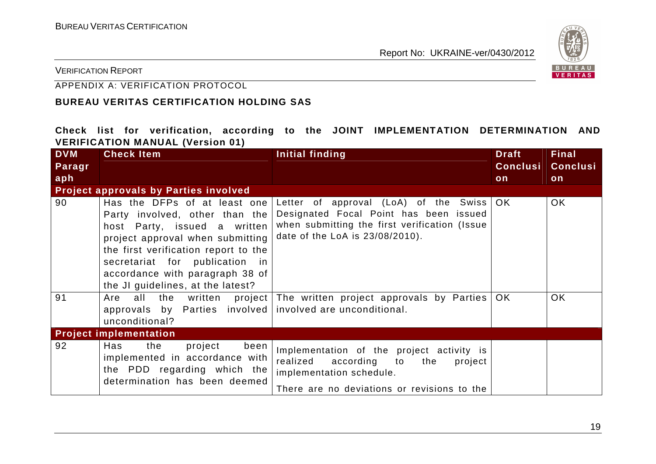

VERIFICATION REPORT

#### APPENDIX A: VERIFICATION PROTOCOL

#### **BUREAU VERITAS CERTIFICATION HOLDING SAS**

**Check list for verification, according to the JOINT IMPLEMENTATION DETERMINATION AND VERIFICATION MANUAL (Version 01)** 

| <b>DVM</b><br>Paragr | <b>Check Item</b>                                                                                                                                                                                                                                                                    | Initial finding                                                                                                                                                        | <b>Draft</b><br><b>Conclusi</b> | <b>Final</b><br><b>Conclusi</b> |
|----------------------|--------------------------------------------------------------------------------------------------------------------------------------------------------------------------------------------------------------------------------------------------------------------------------------|------------------------------------------------------------------------------------------------------------------------------------------------------------------------|---------------------------------|---------------------------------|
| aph                  |                                                                                                                                                                                                                                                                                      |                                                                                                                                                                        | on                              | on                              |
|                      | <b>Project approvals by Parties involved</b>                                                                                                                                                                                                                                         |                                                                                                                                                                        |                                 |                                 |
| 90                   | Has the DFPs of at least one<br>Party involved, other than the<br>host Party, issued a written<br>project approval when submitting<br>the first verification report to the<br>secretariat for publication in<br>accordance with paragraph 38 of<br>the JI guidelines, at the latest? | Letter of approval (LoA) of the Swiss OK<br>Designated Focal Point has been issued<br>when submitting the first verification (Issue<br>date of the LoA is 23/08/2010). |                                 | OK.                             |
| 91                   | all<br>Are<br>approvals by Parties involved involved are unconditional.<br>unconditional?                                                                                                                                                                                            | the written project The written project approvals by Parties                                                                                                           | OK.                             | <b>OK</b>                       |
|                      | <b>Project implementation</b>                                                                                                                                                                                                                                                        |                                                                                                                                                                        |                                 |                                 |
| 92                   | the<br>Has<br>project<br>been  <br>implemented in accordance with<br>the PDD regarding which the<br>determination has been deemed                                                                                                                                                    | Implementation of the project activity is<br>realized<br>according to<br>the<br>project<br>implementation schedule.<br>There are no deviations or revisions to the     |                                 |                                 |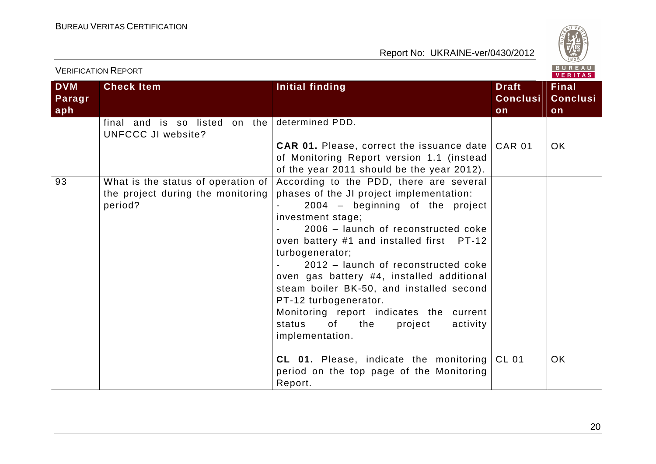

|                             | י בולוו וסה וסורוסו                                                                |                                                                                                                                                                                                                                                                                                                                                                                                                                                                                                                                                                                                                                          |                                       | VERITAS                               |
|-----------------------------|------------------------------------------------------------------------------------|------------------------------------------------------------------------------------------------------------------------------------------------------------------------------------------------------------------------------------------------------------------------------------------------------------------------------------------------------------------------------------------------------------------------------------------------------------------------------------------------------------------------------------------------------------------------------------------------------------------------------------------|---------------------------------------|---------------------------------------|
| <b>DVM</b><br>Paragr<br>aph | <b>Check Item</b>                                                                  | Initial finding                                                                                                                                                                                                                                                                                                                                                                                                                                                                                                                                                                                                                          | <b>Draft</b><br><b>Conclusi</b><br>on | <b>Final</b><br><b>Conclusi</b><br>on |
|                             | final and is so listed on the<br>UNFCCC JI website?                                | determined PDD.<br><b>CAR 01.</b> Please, correct the issuance date CAR 01<br>of Monitoring Report version 1.1 (instead<br>of the year 2011 should be the year 2012).                                                                                                                                                                                                                                                                                                                                                                                                                                                                    |                                       | OK.                                   |
| 93                          | What is the status of operation of<br>the project during the monitoring<br>period? | According to the PDD, there are several<br>phases of the JI project implementation:<br>2004 - beginning of the project<br>investment stage;<br>2006 - launch of reconstructed coke<br>oven battery #1 and installed first PT-12<br>turbogenerator;<br>2012 - launch of reconstructed coke<br>oven gas battery #4, installed additional<br>steam boiler BK-50, and installed second<br>PT-12 turbogenerator.<br>Monitoring report indicates the current<br>0f<br>project<br>activity<br>status<br>the<br>implementation.<br><b>CL 01.</b> Please, indicate the monitoring $ CL$ 01<br>period on the top page of the Monitoring<br>Report. |                                       | OK.                                   |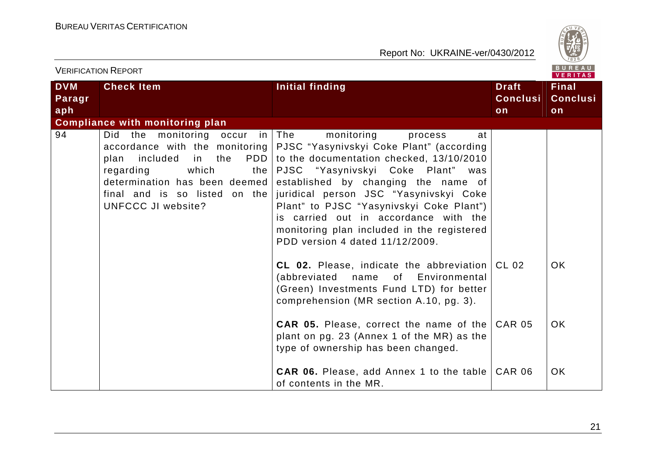

| <b>VERIFICATION REPORT</b>  |                                                                                                                                                                                                |                                                                                                                                                                                                                                                                                                                                                                                                                                                      |                                       | B U R E A U<br><b>VERITAS</b>         |
|-----------------------------|------------------------------------------------------------------------------------------------------------------------------------------------------------------------------------------------|------------------------------------------------------------------------------------------------------------------------------------------------------------------------------------------------------------------------------------------------------------------------------------------------------------------------------------------------------------------------------------------------------------------------------------------------------|---------------------------------------|---------------------------------------|
| <b>DVM</b><br>Paragr<br>aph | <b>Check Item</b>                                                                                                                                                                              | <b>Initial finding</b>                                                                                                                                                                                                                                                                                                                                                                                                                               | <b>Draft</b><br><b>Conclusi</b><br>on | <b>Final</b><br><b>Conclusi</b><br>on |
|                             | <b>Compliance with monitoring plan</b>                                                                                                                                                         |                                                                                                                                                                                                                                                                                                                                                                                                                                                      |                                       |                                       |
| 94                          | Did the monitoring occur in The<br>included<br>in<br>the<br>plan<br>which<br>regarding<br>the  <br>determination has been deemed<br>final and is so listed on the<br><b>UNFCCC JI website?</b> | monitoring<br>at<br>process<br>accordance with the monitoring   PJSC "Yasynivskyi Coke Plant" (according<br>PDD to the documentation checked, 13/10/2010<br>PJSC "Yasynivskyi Coke Plant" was<br>established by changing the name of<br>juridical person JSC "Yasynivskyi Coke<br>Plant" to PJSC "Yasynivskyi Coke Plant")<br>is carried out in accordance with the<br>monitoring plan included in the registered<br>PDD version 4 dated 11/12/2009. |                                       |                                       |
|                             |                                                                                                                                                                                                | CL 02. Please, indicate the abbreviation $ CL$ 02<br>(abbreviated<br>name of Environmental<br>(Green) Investments Fund LTD) for better<br>comprehension (MR section A.10, pg. 3).                                                                                                                                                                                                                                                                    |                                       | OK.                                   |
|                             |                                                                                                                                                                                                | <b>CAR 05.</b> Please, correct the name of the<br>plant on pg. 23 (Annex 1 of the MR) as the<br>type of ownership has been changed.                                                                                                                                                                                                                                                                                                                  | <b>CAR 05</b>                         | OK.                                   |
|                             |                                                                                                                                                                                                | <b>CAR 06.</b> Please, add Annex 1 to the table<br>of contents in the MR.                                                                                                                                                                                                                                                                                                                                                                            | <b>CAR 06</b>                         | <b>OK</b>                             |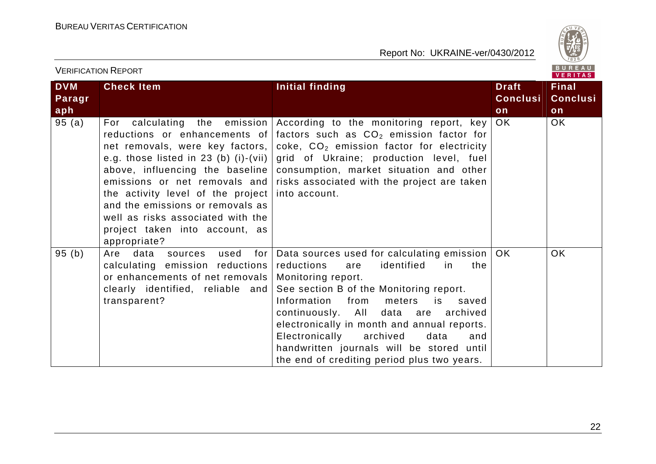

| <b>VERIFICATION REPORT</b>  |                                                                                                                                                                                                                                                                                                                                                                               |                                                                                                                                                                                                                                                                                                                                                                                                                                                     |                                       | <b>BUREAU</b><br><b>VERITAS</b>       |
|-----------------------------|-------------------------------------------------------------------------------------------------------------------------------------------------------------------------------------------------------------------------------------------------------------------------------------------------------------------------------------------------------------------------------|-----------------------------------------------------------------------------------------------------------------------------------------------------------------------------------------------------------------------------------------------------------------------------------------------------------------------------------------------------------------------------------------------------------------------------------------------------|---------------------------------------|---------------------------------------|
| <b>DVM</b><br>Paragr<br>aph | <b>Check Item</b>                                                                                                                                                                                                                                                                                                                                                             | Initial finding                                                                                                                                                                                                                                                                                                                                                                                                                                     | <b>Draft</b><br><b>Conclusi</b><br>on | <b>Final</b><br><b>Conclusi</b><br>on |
| 95(a)                       | For calculating the emission<br>reductions or enhancements of<br>net removals, were key factors,<br>e.g. those listed in 23 (b) (i)-(vii)<br>above, influencing the baseline<br>emissions or net removals and<br>the activity level of the project<br>and the emissions or removals as<br>well as risks associated with the<br>project taken into account, as<br>appropriate? | According to the monitoring report, key<br>factors such as $CO2$ emission factor for<br>coke, CO <sub>2</sub> emission factor for electricity<br>grid of Ukraine; production level, fuel<br>consumption, market situation and other<br>risks associated with the project are taken<br>into account.                                                                                                                                                 | OK                                    | <b>OK</b>                             |
| 95(b)                       | Are data<br>for $ $<br>used<br>sources<br>calculating emission reductions<br>or enhancements of net removals<br>clearly identified, reliable and<br>transparent?                                                                                                                                                                                                              | Data sources used for calculating emission   OK<br>identified<br>reductions<br>the<br>are<br>in.<br>Monitoring report.<br>See section B of the Monitoring report.<br>Information<br>from<br>meters<br>is<br>saved<br>continuously. All data are<br>archived<br>electronically in month and annual reports.<br>Electronically<br>archived<br>data<br>and<br>handwritten journals will be stored until<br>the end of crediting period plus two years. |                                       | OK                                    |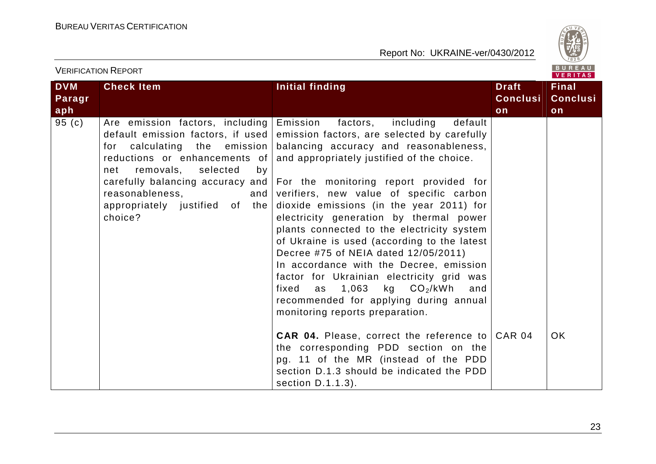

| VERIFICATION REPORT |                                                                                                                                                          |                                                                                                                                                                                                                                                                                                                                                                                                                                                                                                                                                                                                                                                                                                                                                                                                                                           | VERITAS         |                 |
|---------------------|----------------------------------------------------------------------------------------------------------------------------------------------------------|-------------------------------------------------------------------------------------------------------------------------------------------------------------------------------------------------------------------------------------------------------------------------------------------------------------------------------------------------------------------------------------------------------------------------------------------------------------------------------------------------------------------------------------------------------------------------------------------------------------------------------------------------------------------------------------------------------------------------------------------------------------------------------------------------------------------------------------------|-----------------|-----------------|
| <b>DVM</b>          | <b>Check Item</b>                                                                                                                                        | Initial finding                                                                                                                                                                                                                                                                                                                                                                                                                                                                                                                                                                                                                                                                                                                                                                                                                           | <b>Draft</b>    | <b>Final</b>    |
| Paragr              |                                                                                                                                                          |                                                                                                                                                                                                                                                                                                                                                                                                                                                                                                                                                                                                                                                                                                                                                                                                                                           | <b>Conclusi</b> | <b>Conclusi</b> |
| aph                 |                                                                                                                                                          |                                                                                                                                                                                                                                                                                                                                                                                                                                                                                                                                                                                                                                                                                                                                                                                                                                           | on              | on              |
| 95 (c)              | Are emission factors, including   Emission<br>removals, selected<br>net<br>by<br>reasonableness,<br>and $ $<br>appropriately justified of the<br>choice? | including<br>factors,<br>default<br>default emission factors, if used emission factors, are selected by carefully<br>for calculating the emission balancing accuracy and reasonableness,<br>reductions or enhancements of $ $ and appropriately justified of the choice.<br>carefully balancing accuracy and   For the monitoring report provided for<br>verifiers, new value of specific carbon<br>dioxide emissions (in the year 2011) for<br>electricity generation by thermal power<br>plants connected to the electricity system<br>of Ukraine is used (according to the latest<br>Decree #75 of NEIA dated 12/05/2011)<br>In accordance with the Decree, emission<br>factor for Ukrainian electricity grid was<br>fixed as $1,063$ kg $CO2/kWh$<br>and<br>recommended for applying during annual<br>monitoring reports preparation. |                 |                 |
|                     |                                                                                                                                                          | <b>CAR 04.</b> Please, correct the reference to CAR 04<br>the corresponding PDD section on the<br>pg. 11 of the MR (instead of the PDD<br>section D.1.3 should be indicated the PDD<br>section D.1.1.3).                                                                                                                                                                                                                                                                                                                                                                                                                                                                                                                                                                                                                                  |                 | OK.             |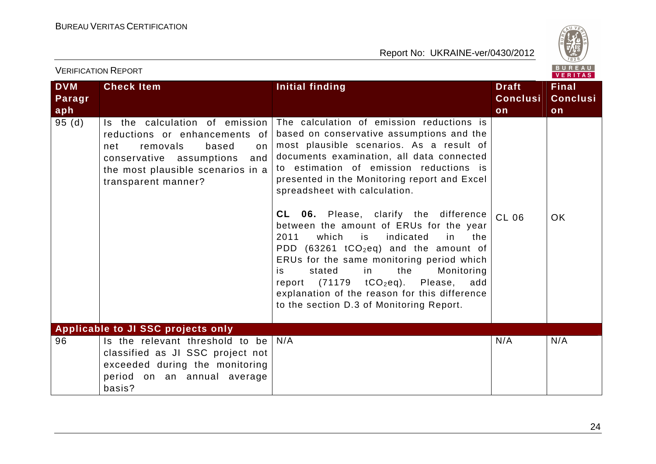

|                             | <b>VERIFICATION REPORT</b>                                                                                                                                                                       |                                                                                                                                                                                                                                                                                                                                                                                                                                                                                                                                                                                                                                                                                                                                                |                                       | BUREAU<br><b>VERITAS</b>              |
|-----------------------------|--------------------------------------------------------------------------------------------------------------------------------------------------------------------------------------------------|------------------------------------------------------------------------------------------------------------------------------------------------------------------------------------------------------------------------------------------------------------------------------------------------------------------------------------------------------------------------------------------------------------------------------------------------------------------------------------------------------------------------------------------------------------------------------------------------------------------------------------------------------------------------------------------------------------------------------------------------|---------------------------------------|---------------------------------------|
| <b>DVM</b><br>Paragr<br>aph | <b>Check Item</b>                                                                                                                                                                                | Initial finding                                                                                                                                                                                                                                                                                                                                                                                                                                                                                                                                                                                                                                                                                                                                | <b>Draft</b><br><b>Conclusi</b><br>on | <b>Final</b><br><b>Conclusi</b><br>on |
| 95(d)                       | Is the calculation of emission<br>reductions or enhancements of<br>removals<br>based<br>net<br>on<br>conservative assumptions<br>and<br>the most plausible scenarios in a<br>transparent manner? | The calculation of emission reductions is<br>based on conservative assumptions and the<br>most plausible scenarios. As a result of<br>documents examination, all data connected<br>to estimation of emission reductions is<br>presented in the Monitoring report and Excel<br>spreadsheet with calculation.<br>CL 06. Please, clarify the difference<br>between the amount of ERUs for the year<br>2011<br>which<br>indicated<br>is<br>the<br>in<br>PDD (63261 tCO <sub>2</sub> eq) and the amount of<br>ERUs for the same monitoring period which<br>the<br>Monitoring<br>stated<br>in<br>is.<br>report $(71179 \tto CO2eq)$ .<br>Please,<br>add<br>explanation of the reason for this difference<br>to the section D.3 of Monitoring Report. | CL 06                                 | <b>OK</b>                             |
|                             | Applicable to JI SSC projects only                                                                                                                                                               |                                                                                                                                                                                                                                                                                                                                                                                                                                                                                                                                                                                                                                                                                                                                                |                                       |                                       |
| 96                          | Is the relevant threshold to be<br>classified as JI SSC project not<br>exceeded during the monitoring<br>period on an annual average<br>basis?                                                   | N/A                                                                                                                                                                                                                                                                                                                                                                                                                                                                                                                                                                                                                                                                                                                                            | N/A                                   | N/A                                   |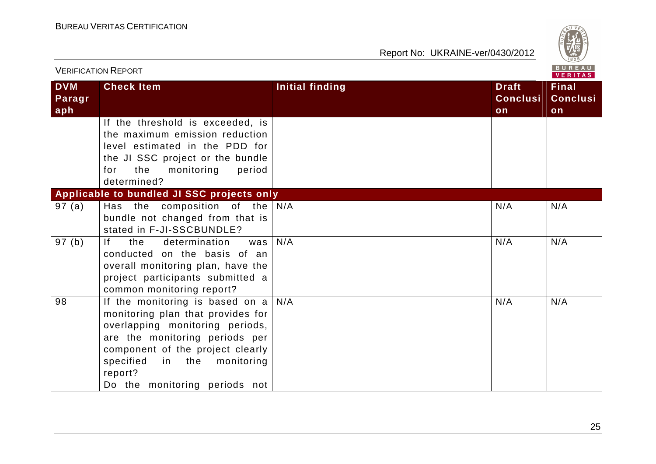

|                             | <b>VERIFICATION REPORT</b>                                                                                                                                                                                                                                     |                        |                                       | B U R E A U  <br>VERITAS              |
|-----------------------------|----------------------------------------------------------------------------------------------------------------------------------------------------------------------------------------------------------------------------------------------------------------|------------------------|---------------------------------------|---------------------------------------|
| <b>DVM</b><br>Paragr<br>aph | <b>Check Item</b>                                                                                                                                                                                                                                              | <b>Initial finding</b> | <b>Draft</b><br><b>Conclusi</b><br>on | <b>Final</b><br><b>Conclusi</b><br>on |
|                             | If the threshold is exceeded, is<br>the maximum emission reduction<br>level estimated in the PDD for<br>the JI SSC project or the bundle<br>the<br>monitoring<br>period<br>for<br>determined?                                                                  |                        |                                       |                                       |
|                             | Applicable to bundled JI SSC projects only                                                                                                                                                                                                                     |                        |                                       |                                       |
| 97(a)                       | Has the composition of the<br>bundle not changed from that is<br>stated in F-JI-SSCBUNDLE?                                                                                                                                                                     | N/A<br>N/A             | N/A<br>N/A                            | N/A<br>N/A                            |
| 97 (b)                      | determination<br>If<br>the<br>was<br>conducted on the basis of an<br>overall monitoring plan, have the<br>project participants submitted a<br>common monitoring report?                                                                                        |                        |                                       |                                       |
| 98                          | If the monitoring is based on a<br>monitoring plan that provides for<br>overlapping monitoring periods,<br>are the monitoring periods per<br>component of the project clearly<br>specified<br>monitoring<br>in the<br>report?<br>Do the monitoring periods not | N/A                    | N/A                                   | N/A                                   |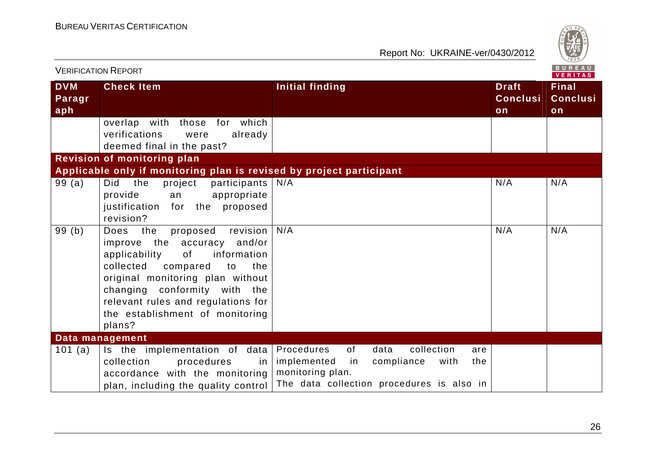

| <b>VERIFICATION REPORT</b>  |                                                                                                                                                                                                                                                                                                       |                                                                                                                                                                  |                                       |                                       |
|-----------------------------|-------------------------------------------------------------------------------------------------------------------------------------------------------------------------------------------------------------------------------------------------------------------------------------------------------|------------------------------------------------------------------------------------------------------------------------------------------------------------------|---------------------------------------|---------------------------------------|
| <b>DVM</b><br>Paragr<br>aph | <b>Check Item</b>                                                                                                                                                                                                                                                                                     | <b>Initial finding</b>                                                                                                                                           | <b>Draft</b><br><b>Conclusi</b><br>on | <b>Final</b><br><b>Conclusi</b><br>on |
|                             | overlap with those for which<br>verifications<br>already<br>were<br>deemed final in the past?                                                                                                                                                                                                         |                                                                                                                                                                  |                                       |                                       |
|                             | <b>Revision of monitoring plan</b>                                                                                                                                                                                                                                                                    |                                                                                                                                                                  |                                       |                                       |
|                             | Applicable only if monitoring plan is revised by project participant                                                                                                                                                                                                                                  |                                                                                                                                                                  |                                       |                                       |
| 99(a)                       | Did<br>the<br>project<br>participants  <br>appropriate<br>provide<br>an<br>proposed<br>justification for the<br>revision?                                                                                                                                                                             | N/A                                                                                                                                                              | N/A                                   | N/A                                   |
| 99(b)                       | revision<br>Does<br>the<br>proposed<br>improve the accuracy and/or<br>applicability<br>information<br>of<br>collected<br>compared<br>to<br>the<br>original monitoring plan without<br>changing conformity with the<br>relevant rules and regulations for<br>the establishment of monitoring<br>plans? | N/A                                                                                                                                                              | N/A                                   | N/A                                   |
|                             | Data management                                                                                                                                                                                                                                                                                       |                                                                                                                                                                  |                                       |                                       |
| 101 $(a)$                   | Is the implementation of data<br>collection<br>procedures<br>in.<br>accordance with the monitoring<br>plan, including the quality control                                                                                                                                                             | Procedures<br>of<br>data<br>collection<br>are<br>implemented<br>with<br>in<br>compliance<br>the<br>monitoring plan.<br>The data collection procedures is also in |                                       |                                       |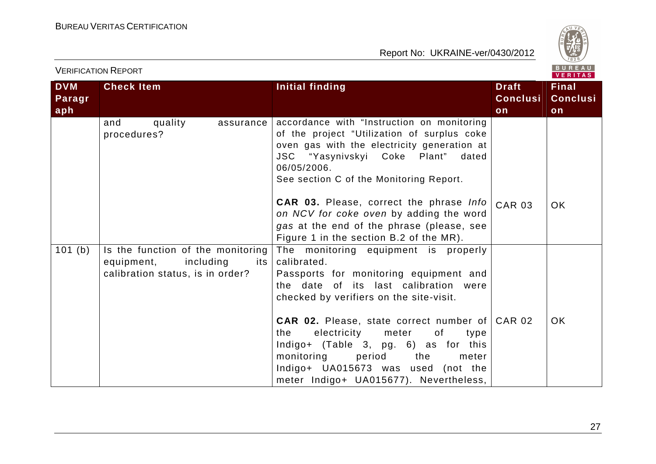

| <b>VERIFICATION REPORT</b><br>VERITAS |                                                                                                      |                                                                                                                                                                                                                                                                                                                                                                                                                                                  |                                 |                                 |
|---------------------------------------|------------------------------------------------------------------------------------------------------|--------------------------------------------------------------------------------------------------------------------------------------------------------------------------------------------------------------------------------------------------------------------------------------------------------------------------------------------------------------------------------------------------------------------------------------------------|---------------------------------|---------------------------------|
| <b>DVM</b><br>Paragr                  | <b>Check Item</b>                                                                                    | Initial finding                                                                                                                                                                                                                                                                                                                                                                                                                                  | <b>Draft</b><br><b>Conclusi</b> | <b>Final</b><br><b>Conclusi</b> |
| aph                                   | quality<br>and<br>assurance<br>procedures?                                                           | accordance with "Instruction on monitoring<br>of the project "Utilization of surplus coke<br>oven gas with the electricity generation at<br>JSC "Yasynivskyi Coke Plant"<br>dated<br>06/05/2006.<br>See section C of the Monitoring Report.                                                                                                                                                                                                      | on                              | on                              |
|                                       |                                                                                                      | CAR 03. Please, correct the phrase Info<br>on NCV for coke oven by adding the word<br>gas at the end of the phrase (please, see<br>Figure 1 in the section B.2 of the MR).                                                                                                                                                                                                                                                                       | <b>CAR 03</b>                   | <b>OK</b>                       |
| 101(b)                                | Is the function of the monitoring<br>equipment, including<br>its<br>calibration status, is in order? | The monitoring equipment is properly<br>calibrated.<br>Passports for monitoring equipment and<br>the date of its last calibration were<br>checked by verifiers on the site-visit.<br><b>CAR 02.</b> Please, state correct number of<br>electricity<br>the<br>meter<br>of<br>type<br>Indigo+ (Table 3, pg. 6) as for this<br>monitoring<br>period<br>the<br>meter<br>Indigo+ UA015673 was used (not the<br>meter Indigo+ UA015677). Nevertheless, | <b>CAR 02</b>                   | <b>OK</b>                       |

 $V = -1$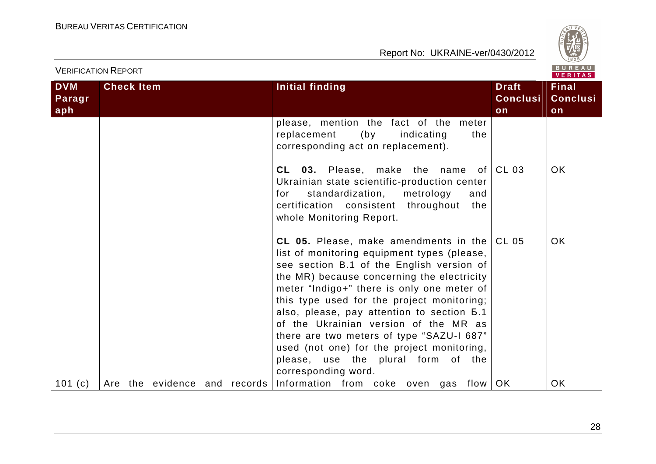

| <b>VERIFICATION REPORT</b>  |                   |                              |  |  |                                                                                                                                                                                                                                                                                                                                                                                                                                                                                                                                   |                                       | B U R E A U<br><b>VERITAS</b>         |
|-----------------------------|-------------------|------------------------------|--|--|-----------------------------------------------------------------------------------------------------------------------------------------------------------------------------------------------------------------------------------------------------------------------------------------------------------------------------------------------------------------------------------------------------------------------------------------------------------------------------------------------------------------------------------|---------------------------------------|---------------------------------------|
| <b>DVM</b><br>Paragr<br>aph | <b>Check Item</b> |                              |  |  | <b>Initial finding</b>                                                                                                                                                                                                                                                                                                                                                                                                                                                                                                            | <b>Draft</b><br><b>Conclusi</b><br>on | <b>Final</b><br><b>Conclusi</b><br>on |
|                             |                   |                              |  |  | please, mention the fact of the meter<br>replacement<br>(by<br>indicating<br>the<br>corresponding act on replacement).                                                                                                                                                                                                                                                                                                                                                                                                            |                                       |                                       |
|                             |                   |                              |  |  | <b>03.</b> Please, make the name of<br>CL.<br>Ukrainian state scientific-production center<br>standardization,<br>metrology<br>and<br>for<br>certification consistent throughout<br>the<br>whole Monitoring Report.                                                                                                                                                                                                                                                                                                               | <b>CL 03</b>                          | OK                                    |
|                             |                   |                              |  |  | CL 05. Please, make amendments in the<br>list of monitoring equipment types (please,<br>see section B.1 of the English version of<br>the MR) because concerning the electricity<br>meter "Indigo+" there is only one meter of<br>this type used for the project monitoring;<br>also, please, pay attention to section <b>6.1</b><br>of the Ukrainian version of the MR as<br>there are two meters of type "SAZU-I 687"<br>used (not one) for the project monitoring,<br>please, use the plural form of the<br>corresponding word. | CL 05                                 | OK.                                   |
| 101 $(c)$                   |                   | Are the evidence and records |  |  | Information from coke oven gas flow                                                                                                                                                                                                                                                                                                                                                                                                                                                                                               | OK                                    | <b>OK</b>                             |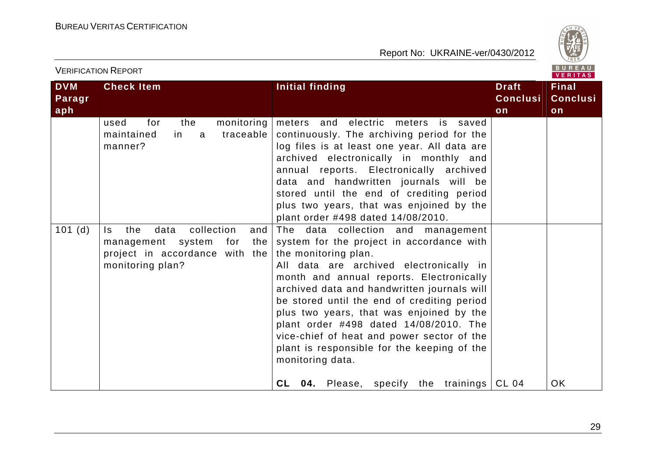

| VERIFICATION REPORT |                                                                                                                               | VERITAS                                                                                                                                                                                                                                                                                                                                                                                                                                                                                                                                                     |                 |                 |
|---------------------|-------------------------------------------------------------------------------------------------------------------------------|-------------------------------------------------------------------------------------------------------------------------------------------------------------------------------------------------------------------------------------------------------------------------------------------------------------------------------------------------------------------------------------------------------------------------------------------------------------------------------------------------------------------------------------------------------------|-----------------|-----------------|
| <b>DVM</b>          | <b>Check Item</b>                                                                                                             | <b>Initial finding</b>                                                                                                                                                                                                                                                                                                                                                                                                                                                                                                                                      | <b>Draft</b>    | <b>Final</b>    |
| Paragr              |                                                                                                                               |                                                                                                                                                                                                                                                                                                                                                                                                                                                                                                                                                             | <b>Conclusi</b> | <b>Conclusi</b> |
| aph                 |                                                                                                                               |                                                                                                                                                                                                                                                                                                                                                                                                                                                                                                                                                             | on              | on              |
|                     | monitoring<br>for<br>the<br>used<br>traceable<br>maintained<br>in<br>a a<br>manner?                                           | meters and electric meters is saved<br>continuously. The archiving period for the<br>log files is at least one year. All data are<br>archived electronically in monthly and<br>annual reports. Electronically archived<br>data and handwritten journals will be<br>stored until the end of crediting period<br>plus two years, that was enjoined by the<br>plant order #498 dated 14/08/2010.                                                                                                                                                               |                 |                 |
| 101(d)              | collection<br>the<br>data<br>ls.<br>and<br>management system for<br>the<br>project in accordance with the<br>monitoring plan? | The data collection and management<br>system for the project in accordance with<br>the monitoring plan.<br>All data are archived electronically in<br>month and annual reports. Electronically<br>archived data and handwritten journals will<br>be stored until the end of crediting period<br>plus two years, that was enjoined by the<br>plant order #498 dated 14/08/2010. The<br>vice-chief of heat and power sector of the<br>plant is responsible for the keeping of the<br>monitoring data.<br><b>04.</b> Please, specify the trainings CL 04<br>CL |                 | OK              |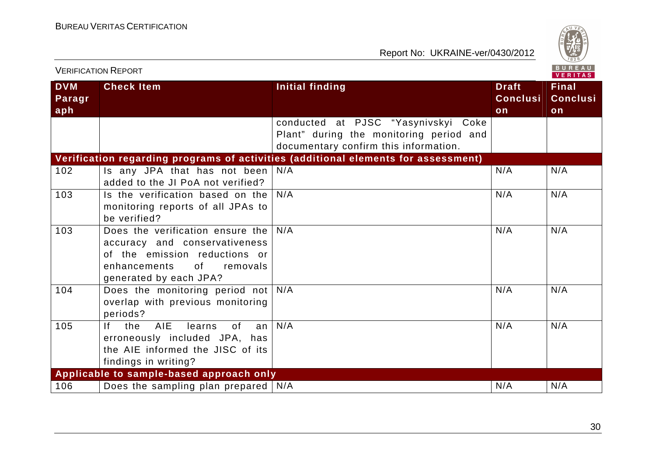

| B U R E A U<br><b>VERIFICATION REPORT</b><br><b>VERITAS</b> |                                                                                                                                                                                                                                                                             |                                                                                                                         |                                       |                                       |
|-------------------------------------------------------------|-----------------------------------------------------------------------------------------------------------------------------------------------------------------------------------------------------------------------------------------------------------------------------|-------------------------------------------------------------------------------------------------------------------------|---------------------------------------|---------------------------------------|
| <b>DVM</b><br>Paragr<br>aph                                 | <b>Check Item</b>                                                                                                                                                                                                                                                           | <b>Initial finding</b>                                                                                                  | <b>Draft</b><br><b>Conclusi</b><br>on | <b>Final</b><br><b>Conclusi</b><br>on |
|                                                             |                                                                                                                                                                                                                                                                             | conducted at PJSC "Yasynivskyi Coke<br>Plant" during the monitoring period and<br>documentary confirm this information. |                                       |                                       |
|                                                             |                                                                                                                                                                                                                                                                             | Verification regarding programs of activities (additional elements for assessment)                                      |                                       |                                       |
| 102                                                         | Is any JPA that has not been<br>added to the JI PoA not verified?                                                                                                                                                                                                           | N/A                                                                                                                     | N/A                                   | N/A                                   |
| 103                                                         | Is the verification based on the<br>monitoring reports of all JPAs to<br>be verified?                                                                                                                                                                                       | N/A                                                                                                                     | N/A                                   | N/A                                   |
| 103                                                         | Does the verification ensure the<br>accuracy and conservativeness<br>of the emission reductions or<br>enhancements<br>of the contract of the contract of the contract of the contract of the contract of the contract of the contract<br>removals<br>generated by each JPA? | N/A                                                                                                                     | N/A                                   | N/A                                   |
| 104                                                         | Does the monitoring period not<br>overlap with previous monitoring<br>periods?                                                                                                                                                                                              | N/A                                                                                                                     | N/A                                   | N/A                                   |
| 105                                                         | AIE<br>If the<br>learns<br>0f<br>an<br>erroneously included JPA, has<br>the AIE informed the JISC of its<br>findings in writing?                                                                                                                                            | N/A                                                                                                                     | N/A                                   | N/A                                   |
|                                                             | Applicable to sample-based approach only                                                                                                                                                                                                                                    |                                                                                                                         |                                       |                                       |
| 106                                                         | Does the sampling plan prepared $\sqrt{\frac{N}{A}}$                                                                                                                                                                                                                        |                                                                                                                         | N/A                                   | N/A                                   |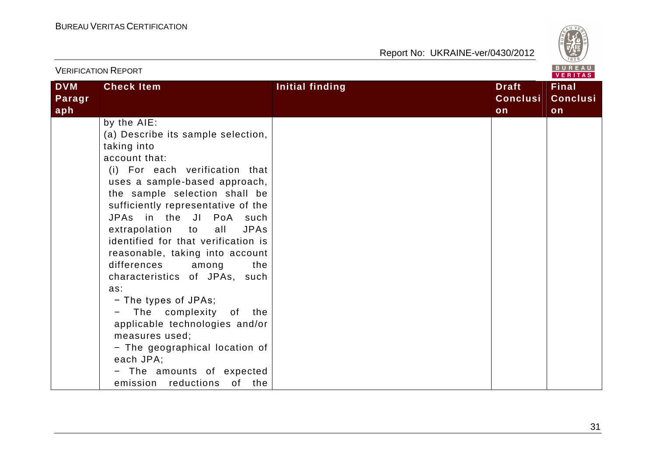

| <b>VERIFICATION REPORT</b>  |                                                                                                                                                                                                                                                                                                                                                                                                                                                                                                                                                                                                                                                                 |                        |                                       |                                       |
|-----------------------------|-----------------------------------------------------------------------------------------------------------------------------------------------------------------------------------------------------------------------------------------------------------------------------------------------------------------------------------------------------------------------------------------------------------------------------------------------------------------------------------------------------------------------------------------------------------------------------------------------------------------------------------------------------------------|------------------------|---------------------------------------|---------------------------------------|
| <b>DVM</b><br>Paragr<br>aph | <b>Check Item</b>                                                                                                                                                                                                                                                                                                                                                                                                                                                                                                                                                                                                                                               | <b>Initial finding</b> | <b>Draft</b><br><b>Conclusi</b><br>on | <b>Final</b><br><b>Conclusi</b><br>on |
|                             | by the AIE:<br>(a) Describe its sample selection,<br>taking into<br>account that:<br>(i) For each verification that<br>uses a sample-based approach,<br>the sample selection shall be<br>sufficiently representative of the<br>JPAs in the JI PoA such<br>extrapolation to all<br><b>JPAs</b><br>identified for that verification is<br>reasonable, taking into account<br>differences<br>among<br>the<br>characteristics of JPAs, such<br>as:<br>- The types of JPAs;<br>- The complexity of the<br>applicable technologies and/or<br>measures used;<br>- The geographical location of<br>each JPA;<br>- The amounts of expected<br>emission reductions of the |                        |                                       |                                       |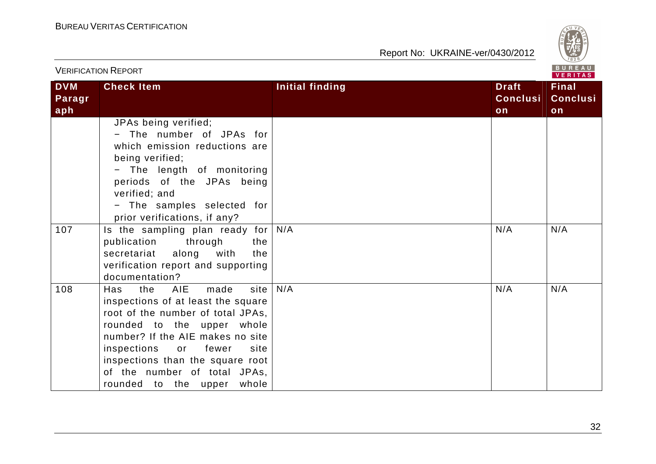

|                             | <b>VERIFICATION REPORT</b>                                                                                                                                                                                                                                                                                                |                 |                                       | $D$ $D$ $R$ $T$<br>VERITAS            |
|-----------------------------|---------------------------------------------------------------------------------------------------------------------------------------------------------------------------------------------------------------------------------------------------------------------------------------------------------------------------|-----------------|---------------------------------------|---------------------------------------|
| <b>DVM</b><br>Paragr<br>aph | <b>Check Item</b>                                                                                                                                                                                                                                                                                                         | Initial finding | <b>Draft</b><br><b>Conclusi</b><br>on | <b>Final</b><br><b>Conclusi</b><br>on |
|                             | JPAs being verified;<br>- The number of JPAs for<br>which emission reductions are<br>being verified;<br>- The length of monitoring<br>periods of the JPAs being<br>verified; and<br>- The samples selected for<br>prior verifications, if any?                                                                            |                 |                                       |                                       |
| 107                         | Is the sampling plan ready for<br>through<br>publication<br>the<br>along with<br>secretariat<br>the<br>verification report and supporting<br>documentation?                                                                                                                                                               | N/A             | N/A                                   | N/A                                   |
| 108                         | AIE<br>site<br>the<br>made<br>Has<br>inspections of at least the square<br>root of the number of total JPAs,<br>rounded to the upper whole<br>number? If the AIE makes no site<br>inspections<br>or<br>fewer<br>site<br>inspections than the square root<br>of the number of total JPAs,<br>rounded to the upper<br>whole | N/A             | N/A                                   | N/A                                   |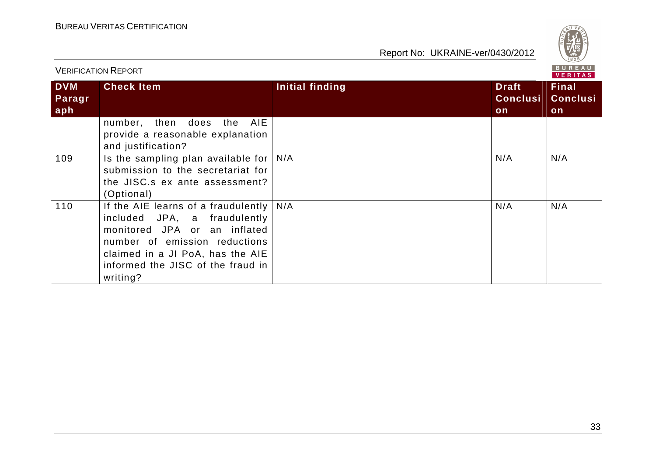

|                             | <b>VERIFICATION REPORT</b>                                                                                                                                                                                                |                 |                                       | BUREAU<br><b>VERITAS</b>              |
|-----------------------------|---------------------------------------------------------------------------------------------------------------------------------------------------------------------------------------------------------------------------|-----------------|---------------------------------------|---------------------------------------|
| <b>DVM</b><br>Paragr<br>aph | <b>Check Item</b>                                                                                                                                                                                                         | Initial finding | <b>Draft</b><br><b>Conclusi</b><br>on | <b>Final</b><br><b>Conclusi</b><br>on |
|                             | AIE<br>number, then does the<br>provide a reasonable explanation<br>and justification?                                                                                                                                    |                 |                                       |                                       |
| 109                         | Is the sampling plan available for<br>submission to the secretariat for<br>the JISC s ex ante assessment?<br>(Optional)                                                                                                   | N/A             | N/A                                   | N/A                                   |
| 110                         | If the AIE learns of a fraudulently<br>included JPA, a fraudulently<br>monitored JPA or an inflated<br>number of emission reductions<br>claimed in a JI PoA, has the AIE<br>informed the JISC of the fraud in<br>writing? | N/A             | N/A                                   | N/A                                   |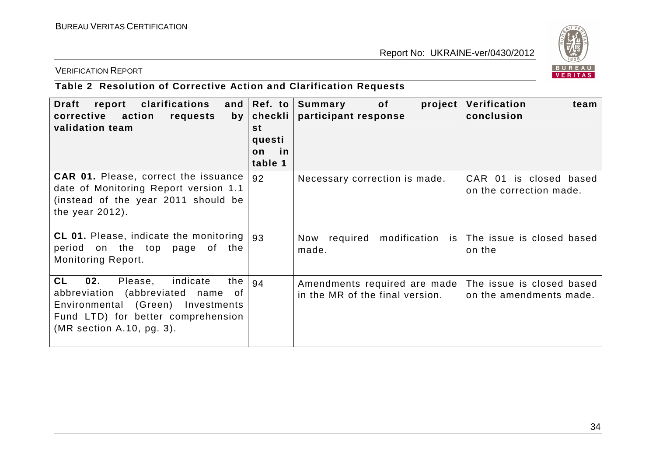

VERIFICATION REPORT

# **Table 2 Resolution of Corrective Action and Clarification Requests**

| clarifications<br>report<br>Draft<br>corrective<br>action<br>requests<br>by<br>validation team                                                                                              | and $ Ref. to $<br>checkli  <br>st<br>questi<br>in<br>on<br>table 1 | of the contract of the contract of the contract of the contract of the contract of the contract of the contract<br>Summary<br>$\boldsymbol{project}$<br>participant response | Verification<br>team<br>conclusion                   |
|---------------------------------------------------------------------------------------------------------------------------------------------------------------------------------------------|---------------------------------------------------------------------|------------------------------------------------------------------------------------------------------------------------------------------------------------------------------|------------------------------------------------------|
| <b>CAR 01.</b> Please, correct the issuance<br>date of Monitoring Report version 1.1<br>(instead of the year 2011 should be<br>the year $2012$ ).                                           | 92                                                                  | Necessary correction is made.                                                                                                                                                | CAR 01 is closed based<br>on the correction made.    |
| <b>CL 01.</b> Please, indicate the monitoring  <br>period on the top page of the<br>Monitoring Report.                                                                                      | 93                                                                  | required<br>modification<br>Now<br>made.                                                                                                                                     | is The issue is closed based<br>on the               |
| <b>CL</b><br>02.<br>indicate<br>the<br>Please,<br>abbreviation (abbreviated name of<br>Environmental (Green) Investments<br>Fund LTD) for better comprehension<br>(MR section A.10, pg. 3). | 94                                                                  | Amendments required are made<br>in the MR of the final version.                                                                                                              | The issue is closed based<br>on the amendments made. |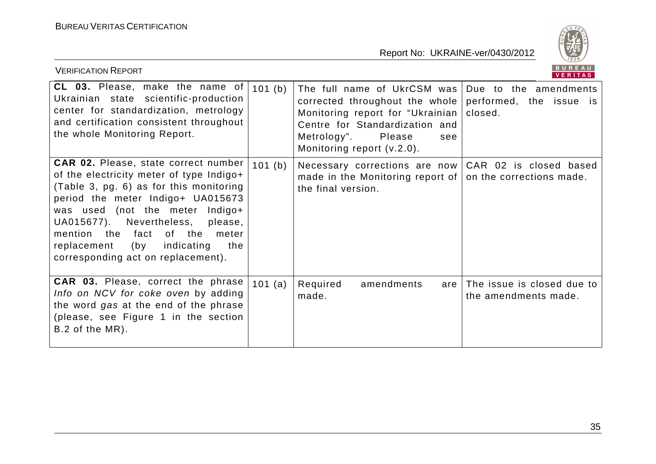

| <b>VERIFICATION REPORT</b>                                                                                                                                                                                                                                                                                                                                                   |         |                                                                                                                                                                                                                             | BUREAU<br>VERITAS                                  |
|------------------------------------------------------------------------------------------------------------------------------------------------------------------------------------------------------------------------------------------------------------------------------------------------------------------------------------------------------------------------------|---------|-----------------------------------------------------------------------------------------------------------------------------------------------------------------------------------------------------------------------------|----------------------------------------------------|
| CL 03. Please, make the name of<br>Ukrainian state scientific-production<br>center for standardization, metrology<br>and certification consistent throughout<br>the whole Monitoring Report.                                                                                                                                                                                 | 101(b)  | The full name of UkrCSM was   Due to the amendments<br>corrected throughout the whole<br>Monitoring report for "Ukrainian  <br>Centre for Standardization and<br>Metrology".<br>Please<br>see<br>Monitoring report (v.2.0). | performed, the issue is<br>closed.                 |
| <b>CAR 02.</b> Please, state correct number<br>of the electricity meter of type Indigo+<br>(Table 3, pg. 6) as for this monitoring<br>period the meter Indigo+ UA015673<br>was used (not the meter Indigo+<br>UA015677). Nevertheless,<br>please,<br>mention the<br>fact<br>of the<br>meter<br>indicating<br>(by<br>the<br>replacement<br>corresponding act on replacement). | 101 (b) | Necessary corrections are now<br>made in the Monitoring report of<br>the final version.                                                                                                                                     | CAR 02 is closed based<br>on the corrections made. |
| <b>CAR 03.</b> Please, correct the phrase<br>Info on NCV for coke oven by adding<br>the word gas at the end of the phrase<br>(please, see Figure 1 in the section<br>B.2 of the MR).                                                                                                                                                                                         | 101 (a) | Required<br>amendments<br>are<br>made.                                                                                                                                                                                      | The issue is closed due to<br>the amendments made. |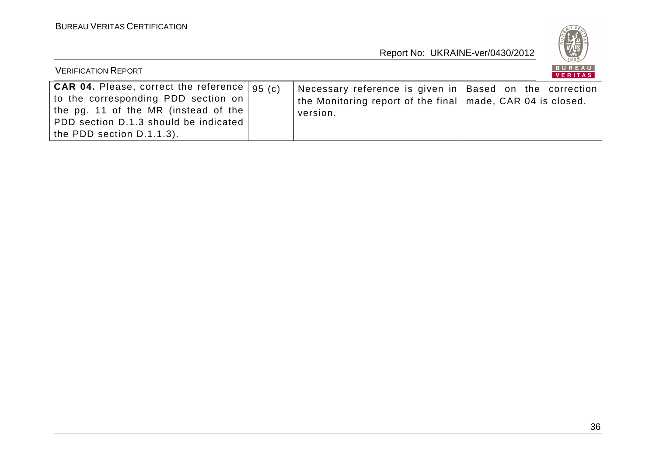

| <b>VERIFICATION REPORT</b>                                                                                                                                                                                        |                                                                                                                                       | BUREAU<br>VERITAS |
|-------------------------------------------------------------------------------------------------------------------------------------------------------------------------------------------------------------------|---------------------------------------------------------------------------------------------------------------------------------------|-------------------|
| $ $ CAR 04. Please, correct the reference $ 95\rangle$ (c)<br>to the corresponding PDD section on<br>the pg. 11 of the MR (instead of the  <br>PDD section D.1.3 should be indicated<br>the PDD section D.1.1.3). | Necessary reference is given in Based on the correction<br>the Monitoring report of the final $ $ made, CAR 04 is closed.<br>version. |                   |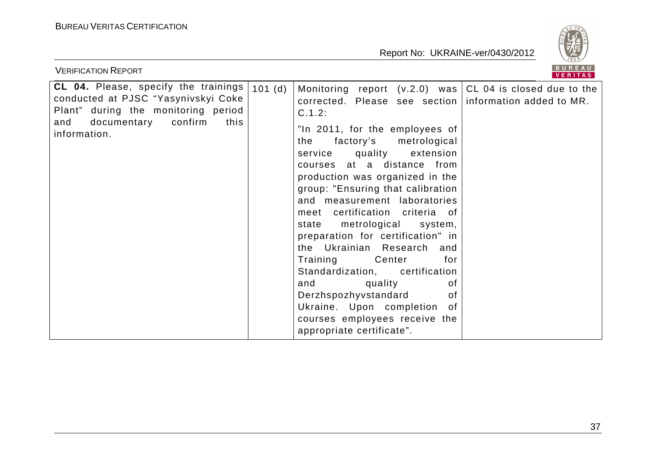

| <b>VERIFICATION REPORT</b>                                                                                                                                                         |        |                                                                                                                                                                                                                                                                                                                                                                                                                                                                                                                                                                                                                                                                                                                                     | <b>BUREAU</b><br><b>VERITAS</b> |
|------------------------------------------------------------------------------------------------------------------------------------------------------------------------------------|--------|-------------------------------------------------------------------------------------------------------------------------------------------------------------------------------------------------------------------------------------------------------------------------------------------------------------------------------------------------------------------------------------------------------------------------------------------------------------------------------------------------------------------------------------------------------------------------------------------------------------------------------------------------------------------------------------------------------------------------------------|---------------------------------|
| <b>CL 04.</b> Please, specify the trainings<br>conducted at PJSC "Yasynivskyi Coke<br>Plant" during the monitoring period<br>documentary<br>confirm<br>this<br>and<br>information. | 101(d) | Monitoring report $(v.2.0)$ was CL 04 is closed due to the<br>corrected. Please see section information added to MR.<br>C.1.2:<br>"In 2011, for the employees of<br>factory's metrological<br>the<br>service quality extension<br>courses at a distance from<br>production was organized in the<br>group: "Ensuring that calibration<br>and measurement laboratories<br>meet certification criteria of<br>metrological system,<br>state<br>preparation for certification" in<br>the Ukrainian Research and<br>Training<br><b>Center</b><br>for<br>Standardization, certification<br>and quality<br>οf<br>Derzhspozhyvstandard<br>0f<br>Ukraine. Upon completion<br>0f<br>courses employees receive the<br>appropriate certificate". |                                 |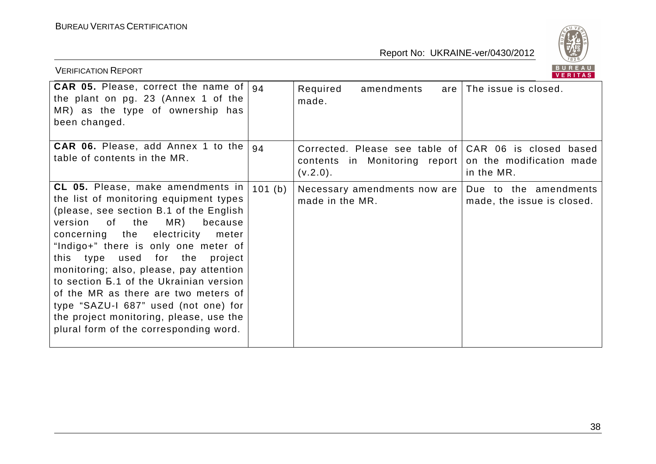

| <b>VERIFICATION REPORT</b>                                                                                                                                                                                                                                                                                                                                                                                                                                                                                                                          |        |                                                                                                                             | BUREAU<br><b>VERITAS</b>                            |
|-----------------------------------------------------------------------------------------------------------------------------------------------------------------------------------------------------------------------------------------------------------------------------------------------------------------------------------------------------------------------------------------------------------------------------------------------------------------------------------------------------------------------------------------------------|--------|-----------------------------------------------------------------------------------------------------------------------------|-----------------------------------------------------|
| <b>CAR 05.</b> Please, correct the name of $\vert$ 94<br>the plant on pg. 23 (Annex 1 of the<br>MR) as the type of ownership has<br>been changed.                                                                                                                                                                                                                                                                                                                                                                                                   |        | Required<br>amendments<br>are<br>made.                                                                                      | The issue is closed.                                |
| CAR 06. Please, add Annex 1 to the<br>table of contents in the MR.                                                                                                                                                                                                                                                                                                                                                                                                                                                                                  | 94     | Corrected. Please see table of CAR 06 is closed based<br>contents in Monitoring report on the modification made<br>(v.2.0). | in the MR.                                          |
| CL 05. Please, make amendments in<br>the list of monitoring equipment types<br>(please, see section B.1 of the English<br>version of the<br>MR)<br>because<br>concerning the electricity<br>meter<br>"Indigo+" there is only one meter of<br>used for the<br>this type<br>project<br>monitoring; also, please, pay attention<br>to section <b>5.1</b> of the Ukrainian version<br>of the MR as there are two meters of<br>type "SAZU-I 687" used (not one) for<br>the project monitoring, please, use the<br>plural form of the corresponding word. | 101(b) | Necessary amendments now are<br>made in the MR.                                                                             | Due to the amendments<br>made, the issue is closed. |